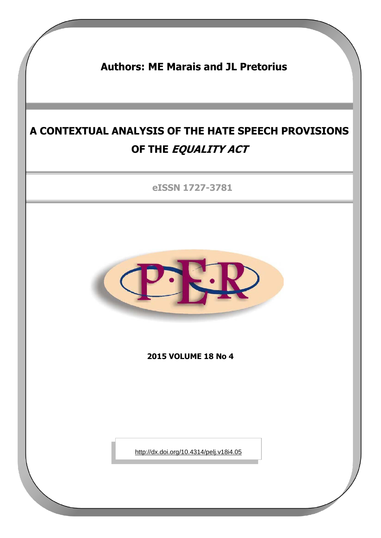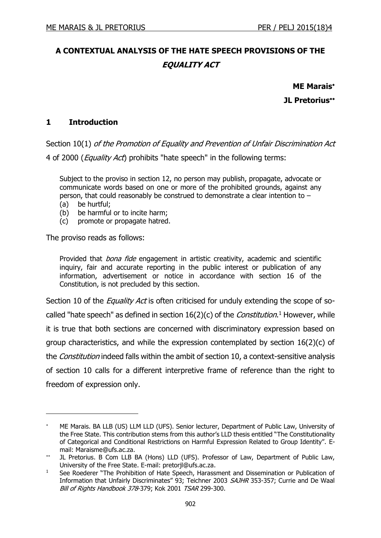# **A CONTEXTUAL ANALYSIS OF THE HATE SPEECH PROVISIONS OF THE EQUALITY ACT**

**ME Marais JL Pretorius**

## **1 Introduction**

Section 10(1) of the Promotion of Equality and Prevention of Unfair Discrimination Act 4 of 2000 (*Equality Act*) prohibits "hate speech" in the following terms:

Subject to the proviso in [section 12,](http://www.acts.co.za/prom_of_equality/12_prohibition_of_dissemination_and_publication_of_information_that_unfairly_discriminates.htm) no [person](javascript:void(0);) may publish, propagate, advocate or communicate words based on one or more of the [prohibited grounds,](javascript:void(0);) against any person, that could reasonably be construed to demonstrate a clear intention to –

(a) be hurtful;

-

- (b) be harmful or to incite harm;
- (c) promote or propagate hatred.

The proviso reads as follows:

Provided that *bona fide* engagement in artistic creativity, academic and scientific inquiry, fair and accurate reporting in the public interest or publication of any information, advertisement or notice in accordance with section 16 of the [Constitution,](javascript:void(0);) is not precluded by this section.

Section 10 of the *Equality Act* is often criticised for unduly extending the scope of socalled "hate speech" as defined in section  $16(2)(c)$  of the *Constitution*.<sup>1</sup> However, while it is true that both sections are concerned with discriminatory expression based on group characteristics, and while the expression contemplated by section 16(2)(c) of the *Constitution* indeed falls within the ambit of section 10, a context-sensitive analysis of section 10 calls for a different interpretive frame of reference than the right to freedom of expression only.

ME Marais. BA LLB (US) LLM LLD (UFS). Senior lecturer, Department of Public Law, University of the Free State. This contribution stems from this author's LLD thesis entitled "The Constitutionality of Categorical and Conditional Restrictions on Harmful Expression Related to Group Identity". Email: Maraisme@ufs.ac.za.

 $**$ JL Pretorius. B Com LLB BA (Hons) LLD (UFS). Professor of Law, Department of Public Law, University of the Free State. E-mail: pretorjl@ufs.ac.za.

<sup>&</sup>lt;sup>1</sup> See Roederer "The Prohibition of Hate Speech, Harassment and Dissemination or Publication of Information that Unfairly Discriminates" 93; Teichner 2003 SAJHR 353-357; Currie and De Waal Bill of Rights Handbook 378-379; Kok 2001 TSAR 299-300.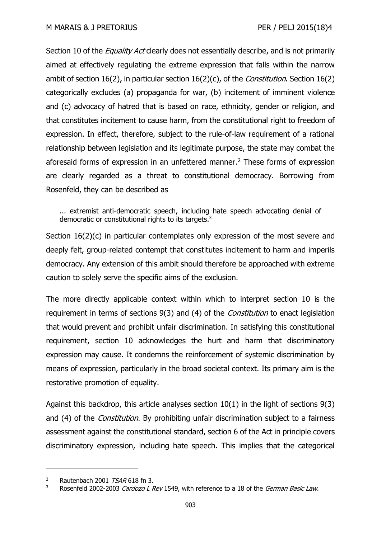Section 10 of the *Equality Act* clearly does not essentially describe, and is not primarily aimed at effectively regulating the extreme expression that falls within the narrow ambit of section 16(2), in particular section  $16(2)(c)$ , of the *Constitution*. Section 16(2) categorically excludes (a) propaganda for war, (b) incitement of imminent violence and (c) advocacy of hatred that is based on race, ethnicity, gender or religion, and that constitutes incitement to cause harm, from the constitutional right to freedom of expression. In effect, therefore, subject to the rule-of-law requirement of a rational relationship between legislation and its legitimate purpose, the state may combat the aforesaid forms of expression in an unfettered manner.<sup>2</sup> These forms of expression are clearly regarded as a threat to constitutional democracy. Borrowing from Rosenfeld, they can be described as

... extremist anti-democratic speech, including hate speech advocating denial of democratic or constitutional rights to its targets.<sup>3</sup>

Section 16(2)(c) in particular contemplates only expression of the most severe and deeply felt, group-related contempt that constitutes incitement to harm and imperils democracy. Any extension of this ambit should therefore be approached with extreme caution to solely serve the specific aims of the exclusion.

The more directly applicable context within which to interpret section 10 is the requirement in terms of sections 9(3) and (4) of the *Constitution* to enact legislation that would prevent and prohibit unfair discrimination. In satisfying this constitutional requirement, section 10 acknowledges the hurt and harm that discriminatory expression may cause. It condemns the reinforcement of systemic discrimination by means of expression, particularly in the broad societal context. Its primary aim is the restorative promotion of equality.

Against this backdrop, this article analyses section 10(1) in the light of sections 9(3) and (4) of the *Constitution*. By prohibiting unfair discrimination subject to a fairness assessment against the constitutional standard, section 6 of the Act in principle covers discriminatory expression, including hate speech. This implies that the categorical

<sup>&</sup>lt;sup>2</sup> Rautenbach 2001  $TSAR$  618 fn 3.

<sup>&</sup>lt;sup>3</sup> Rosenfeld 2002-2003 Cardozo L Rev 1549, with reference to a 18 of the German Basic Law.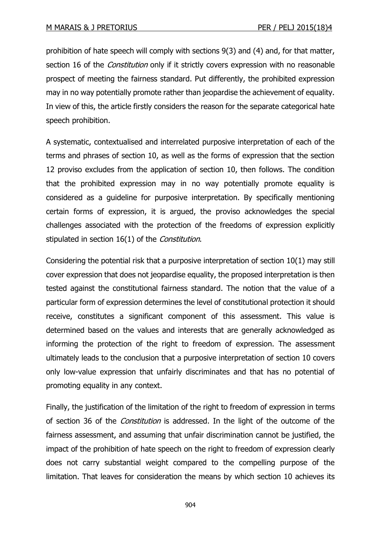prohibition of hate speech will comply with sections 9(3) and (4) and, for that matter, section 16 of the *Constitution* only if it strictly covers expression with no reasonable prospect of meeting the fairness standard. Put differently, the prohibited expression may in no way potentially promote rather than jeopardise the achievement of equality. In view of this, the article firstly considers the reason for the separate categorical hate speech prohibition.

A systematic, contextualised and interrelated purposive interpretation of each of the terms and phrases of section 10, as well as the forms of expression that the section 12 proviso excludes from the application of section 10, then follows. The condition that the prohibited expression may in no way potentially promote equality is considered as a guideline for purposive interpretation. By specifically mentioning certain forms of expression, it is argued, the proviso acknowledges the special challenges associated with the protection of the freedoms of expression explicitly stipulated in section 16(1) of the Constitution.

Considering the potential risk that a purposive interpretation of section 10(1) may still cover expression that does not jeopardise equality, the proposed interpretation is then tested against the constitutional fairness standard. The notion that the value of a particular form of expression determines the level of constitutional protection it should receive, constitutes a significant component of this assessment. This value is determined based on the values and interests that are generally acknowledged as informing the protection of the right to freedom of expression. The assessment ultimately leads to the conclusion that a purposive interpretation of section 10 covers only low-value expression that unfairly discriminates and that has no potential of promoting equality in any context.

Finally, the justification of the limitation of the right to freedom of expression in terms of section 36 of the *Constitution* is addressed. In the light of the outcome of the fairness assessment, and assuming that unfair discrimination cannot be justified, the impact of the prohibition of hate speech on the right to freedom of expression clearly does not carry substantial weight compared to the compelling purpose of the limitation. That leaves for consideration the means by which section 10 achieves its

904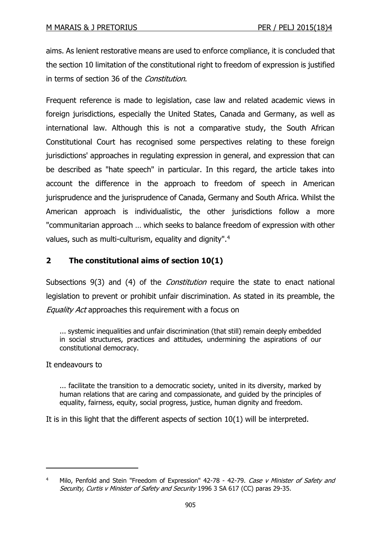aims. As lenient restorative means are used to enforce compliance, it is concluded that the section 10 limitation of the constitutional right to freedom of expression is justified in terms of section 36 of the *Constitution*.

Frequent reference is made to legislation, case law and related academic views in foreign jurisdictions, especially the United States, Canada and Germany, as well as international law. Although this is not a comparative study, the South African Constitutional Court has recognised some perspectives relating to these foreign jurisdictions' approaches in regulating expression in general, and expression that can be described as "hate speech" in particular. In this regard, the article takes into account the difference in the approach to freedom of speech in American jurisprudence and the jurisprudence of Canada, Germany and South Africa. Whilst the American approach is individualistic, the other jurisdictions follow a more "communitarian approach … which seeks to balance freedom of expression with other values, such as multi-culturism, equality and dignity".<sup>4</sup>

# **2 The constitutional aims of section 10(1)**

Subsections 9(3) and (4) of the *Constitution* require the state to enact national legislation to prevent or prohibit unfair discrimination. As stated in its preamble, the Equality Act approaches this requirement with a focus on

... systemic inequalities and unfair discrimination (that still) remain deeply embedded in social structures, practices and attitudes, undermining the aspirations of our constitutional democracy.

It endeavours to

-

... facilitate the transition to a democratic society, united in its diversity, marked by human relations that are caring and compassionate, and guided by the principles of equality, fairness, equity, social progress, justice, human dignity and freedom.

It is in this light that the different aspects of section 10(1) will be interpreted.

<sup>&</sup>lt;sup>4</sup> Milo, Penfold and Stein "Freedom of Expression" 42-78 - 42-79. Case v Minister of Safety and Security, Curtis v Minister of Safety and Security 1996 3 SA 617 (CC) paras 29-35.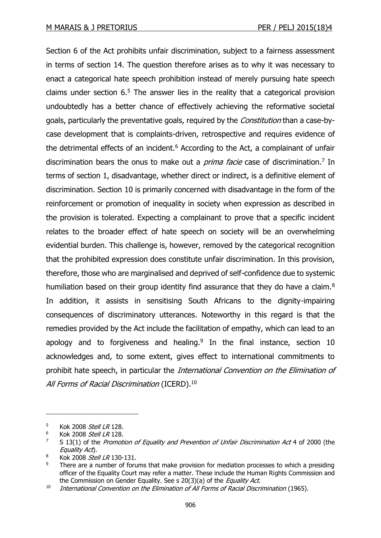Section 6 of the Act prohibits unfair discrimination, subject to a fairness assessment in terms of section 14. The question therefore arises as to why it was necessary to enact a categorical hate speech prohibition instead of merely pursuing hate speech claims under section  $6.5$  The answer lies in the reality that a categorical provision undoubtedly has a better chance of effectively achieving the reformative societal goals, particularly the preventative goals, required by the *Constitution* than a case-bycase development that is complaints-driven, retrospective and requires evidence of the detrimental effects of an incident. $6$  According to the Act, a complainant of unfair discrimination bears the onus to make out a *prima facie* case of discrimination.<sup>7</sup> In terms of section 1, disadvantage, whether direct or indirect, is a definitive element of discrimination. Section 10 is primarily concerned with disadvantage in the form of the reinforcement or promotion of inequality in society when expression as described in the provision is tolerated. Expecting a complainant to prove that a specific incident relates to the broader effect of hate speech on society will be an overwhelming evidential burden. This challenge is, however, removed by the categorical recognition that the prohibited expression does constitute unfair discrimination. In this provision, therefore, those who are marginalised and deprived of self-confidence due to systemic humiliation based on their group identity find assurance that they do have a claim.<sup>8</sup> In addition, it assists in sensitising South Africans to the dignity-impairing consequences of discriminatory utterances. Noteworthy in this regard is that the remedies provided by the Act include the facilitation of empathy, which can lead to an apology and to forgiveness and healing. $9$  In the final instance, section 10 acknowledges and, to some extent, gives effect to international commitments to prohibit hate speech, in particular the *International Convention on the Elimination of* All Forms of Racial Discrimination (ICERD).<sup>10</sup>

<sup>5</sup> Kok 2008 Stell LR 128.

<sup>&</sup>lt;sup>6</sup> Kok 2008 Stell LR 128.

<sup>&</sup>lt;sup>7</sup> S 13(1) of the Promotion of Equality and Prevention of Unfair Discrimination Act 4 of 2000 (the Equality Act).

 $8$  Kok 2008 *Stell LR* 130-131.

There are a number of forums that make provision for mediation processes to which a presiding officer of the Equality Court may refer a matter. These include the Human Rights Commission and the Commission on Gender Equality. See s 20(3)(a) of the *Equality Act*.

<sup>&</sup>lt;sup>10</sup> International Convention on the Elimination of All Forms of Racial Discrimination (1965).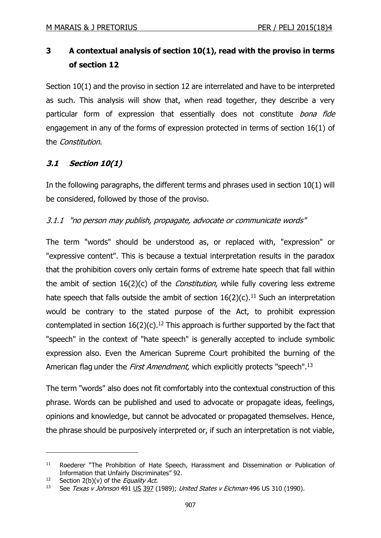# **3 A contextual analysis of section 10(1), read with the proviso in terms of section 12**

Section 10(1) and the proviso in section 12 are interrelated and have to be interpreted as such. This analysis will show that, when read together, they describe a very particular form of expression that essentially does not constitute bona fide engagement in any of the forms of expression protected in terms of section 16(1) of the Constitution.

# **3.1 Section 10(1)**

In the following paragraphs, the different terms and phrases used in section 10(1) will be considered, followed by those of the proviso.

# 3.1.1 "no [person](javascript:void(0);) may publish, propagate, advocate or communicate words"

The term "words" should be understood as, or replaced with, "expression" or "expressive content". This is because a textual interpretation results in the paradox that the prohibition covers only certain forms of extreme hate speech that fall within the ambit of section  $16(2)(c)$  of the *Constitution*, while fully covering less extreme hate speech that falls outside the ambit of section  $16(2)(c)$ .<sup>11</sup> Such an interpretation would be contrary to the stated purpose of the Act, to prohibit expression contemplated in section  $16(2)(c)$ .<sup>12</sup> This approach is further supported by the fact that "speech" in the context of "hate speech" is generally accepted to include symbolic expression also. Even the American Supreme Court prohibited the burning of the American flag under the *First Amendment*, which explicitly protects "speech".<sup>13</sup>

The term "words" also does not fit comfortably into the contextual construction of this phrase. Words can be published and used to advocate or propagate ideas, feelings, opinions and knowledge, but cannot be advocated or propagated themselves. Hence, the phrase should be purposively interpreted or, if such an interpretation is not viable,

<sup>&</sup>lt;sup>11</sup> Roederer "The Prohibition of Hate Speech, Harassment and Dissemination or Publication of Information that Unfairly Discriminates" 92.

<sup>&</sup>lt;sup>12</sup> Section 2(b)(v) of the *Equality Act*.

<sup>&</sup>lt;sup>13</sup> See [Texas v Johnson](http://www.answers.com/topic/texas-v-johnson) 491 [US](http://en.wikipedia.org/wiki/United_States_Reports) [397](http://supreme.justia.com/us/491/397/case.html) (1989); United States v Eichman 496 US 310 (1990).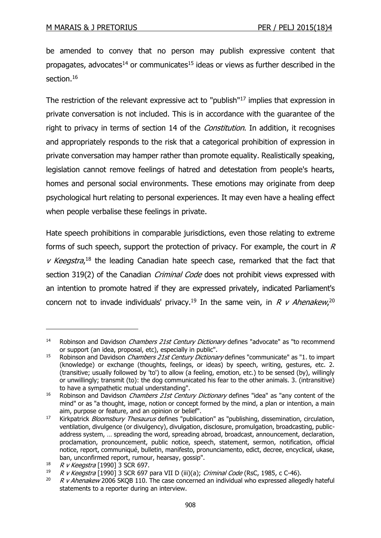be amended to convey that no person may publish expressive content that propagates, advocates<sup>14</sup> or communicates<sup>15</sup> ideas or views as further described in the section.<sup>16</sup>

The restriction of the relevant expressive act to "publish"<sup>17</sup> implies that expression in private conversation is not included. This is in accordance with the guarantee of the right to privacy in terms of section 14 of the *Constitution*. In addition, it recognises and appropriately responds to the risk that a categorical prohibition of expression in private conversation may hamper rather than promote equality. Realistically speaking, legislation cannot remove feelings of hatred and detestation from people's hearts, homes and personal social environments. These emotions may originate from deep psychological hurt relating to personal experiences. It may even have a healing effect when people verbalise these feelings in private.

Hate speech prohibitions in comparable jurisdictions, even those relating to extreme forms of such speech, support the protection of privacy. For example, the court in  $R$  $v$  Keegstra,<sup>18</sup> the leading Canadian hate speech case, remarked that the fact that section 319(2) of the Canadian *Criminal Code* does not prohibit views expressed with an intention to promote hatred if they are expressed privately, indicated Parliament's concern not to invade individuals' privacy.<sup>19</sup> In the same vein, in R v Ahenakew,<sup>20</sup>

<sup>&</sup>lt;sup>14</sup> Robinson and Davidson *Chambers 21st Century Dictionary* defines "advocate" as "to recommend or support (an idea, proposal, etc), especially in public".

<sup>&</sup>lt;sup>15</sup> Robinson and Davidson *Chambers 21st Century Dictionary* defines "communicate" as "1. to impart (knowledge) or exchange (thoughts, feelings, or ideas) by speech, writing, gestures, etc. 2. (transitive; usually followed by 'to') to allow (a feeling, emotion, etc.) to be sensed (by), willingly or unwillingly; transmit (to): the dog communicated his fear to the other animals. 3. (intransitive) to have a sympathetic mutual understanding".

<sup>&</sup>lt;sup>16</sup> Robinson and Davidson *Chambers 21st Century Dictionary* defines "idea" as "any content of the mind" or as "a thought, image, notion or concept formed by the mind, a plan or intention, a main aim, purpose or feature, and an opinion or belief".

<sup>&</sup>lt;sup>17</sup> Kirkpatrick *Bloomsbury Thesaurus* defines "publication" as "publishing, dissemination, circulation, ventilation, divulgence (or divulgency), divulgation, disclosure, promulgation, broadcasting, publicaddress system, … spreading the word, spreading abroad, broadcast, announcement, declaration, proclamation, pronouncement, public notice, speech, statement, sermon, notification, official notice, report, communiqué, bulletin, manifesto, pronunciamento, edict, decree, encyclical, ukase, ban, unconfirmed report, rumour, hearsay, gossip".

<sup>&</sup>lt;sup>18</sup> R v Keegstra [1990] 3 SCR 697.<br><sup>19</sup> R v Keegstra [1990] 3 SCR 697.

<sup>19</sup> R v Keegstra [1990] 3 SCR 697 para VII D (iii)(a); Criminal Code (RsC, 1985, c C-46).<br>20 R v Abenakew 2006 SKOB 110. The case concerned an individual who expressed allege

 $R$  v Ahenakew 2006 SKQB 110. The case concerned an individual who expressed allegedly hateful statements to a reporter during an interview.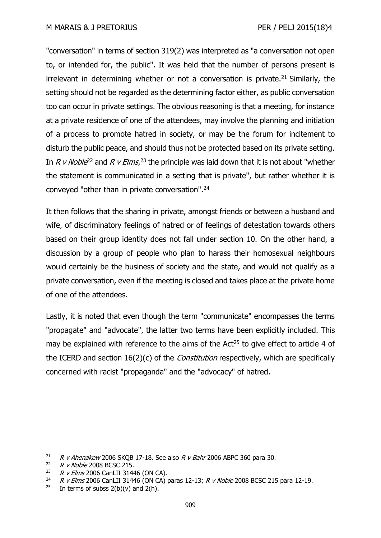"conversation" in terms of section 319(2) was interpreted as "a conversation not open to, or intended for, the public". It was held that the number of persons present is irrelevant in determining whether or not a conversation is private.<sup>21</sup> Similarly, the setting should not be regarded as the determining factor either, as public conversation too can occur in private settings. The obvious reasoning is that a meeting, for instance at a private residence of one of the attendees, may involve the planning and initiation of a process to promote hatred in society, or may be the forum for incitement to disturb the public peace, and should thus not be protected based on its private setting. In R v Noble<sup>22</sup> and R v Elms,<sup>23</sup> the principle was laid down that it is not about "whether the statement is communicated in a setting that is private", but rather whether it is conveyed "other than in private conversation".<sup>24</sup>

It then follows that the sharing in private, amongst friends or between a husband and wife, of discriminatory feelings of hatred or of feelings of detestation towards others based on their group identity does not fall under section 10. On the other hand, a discussion by a group of people who plan to harass their homosexual neighbours would certainly be the business of society and the state, and would not qualify as a private conversation, even if the meeting is closed and takes place at the private home of one of the attendees.

Lastly, it is noted that even though the term "communicate" encompasses the terms "propagate" and "advocate", the latter two terms have been explicitly included. This may be explained with reference to the aims of the  $Act^{25}$  to give effect to article 4 of the ICERD and section 16(2)(c) of the *Constitution* respectively, which are specifically concerned with racist "propaganda" and the "advocacy" of hatred.

<sup>&</sup>lt;sup>21</sup> R v Ahenakew 2006 SKQB 17-18. See also R v Bahr 2006 ABPC 360 para 30.<br><sup>22</sup> P v Noble 2008 BCSC 215

<sup>&</sup>lt;sup>22</sup> R v Noble 2008 BCSC 215.<br><sup>23</sup> P v Elme 2006 Capl II 314/

<sup>23</sup> R v Elms 2006 CanLII 31446 (ON CA).

<sup>&</sup>lt;sup>24</sup> R v Elms 2006 CanLII 31446 (ON CA) paras 12-13; R v Noble 2008 BCSC 215 para 12-19.

<sup>&</sup>lt;sup>25</sup> In terms of subss  $2(b)(v)$  and  $2(h)$ .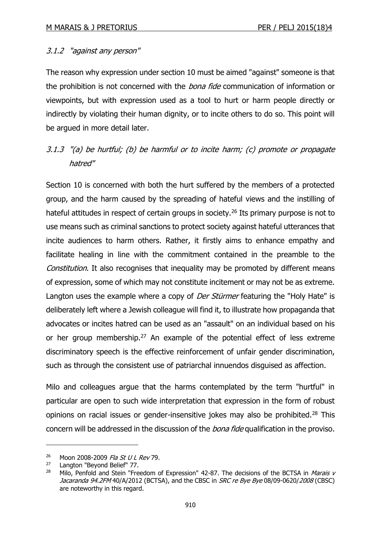## 3.1.2 "against any person"

The reason why expression under section 10 must be aimed "against" someone is that the prohibition is not concerned with the *bona fide* communication of information or viewpoints, but with expression used as a tool to hurt or harm people directly or indirectly by violating their human dignity, or to incite others to do so. This point will be argued in more detail later.

# 3.1.3 "(a) be hurtful; (b) be harmful or to incite harm; (c) promote or propagate hatred"

Section 10 is concerned with both the hurt suffered by the members of a protected group, and the harm caused by the spreading of hateful views and the instilling of hateful attitudes in respect of certain groups in society.<sup>26</sup> Its primary purpose is not to use means such as criminal sanctions to protect society against hateful utterances that incite audiences to harm others. Rather, it firstly aims to enhance empathy and facilitate healing in line with the commitment contained in the preamble to the Constitution. It also recognises that inequality may be promoted by different means of expression, some of which may not constitute incitement or may not be as extreme. Langton uses the example where a copy of *Der Stürmer* featuring the "Holy Hate" is deliberately left where a Jewish colleague will find it, to illustrate how propaganda that advocates or incites hatred can be used as an "assault" on an individual based on his or her group membership.<sup>27</sup> An example of the potential effect of less extreme discriminatory speech is the effective reinforcement of unfair gender discrimination, such as through the consistent use of patriarchal innuendos disguised as affection.

Milo and colleagues argue that the harms contemplated by the term "hurtful" in particular are open to such wide interpretation that expression in the form of robust opinions on racial issues or gender-insensitive jokes may also be prohibited.<sup>28</sup> This concern will be addressed in the discussion of the *bona fide* qualification in the proviso.

<sup>&</sup>lt;sup>26</sup> Moon 2008-2009 *Fla St U L Rev* 79.

 $27$  Langton "Beyond Belief" 77.<br> $28$  Milo Benfold and Stein "Ere

Milo, Penfold and Stein "Freedom of Expression" 42-87. The decisions of the BCTSA in Marais v Jacaranda 94.2FM 40/A/2012 (BCTSA), and the CBSC in *SRC re Bye Bye* 08/09-0620/2008 (CBSC) are noteworthy in this regard.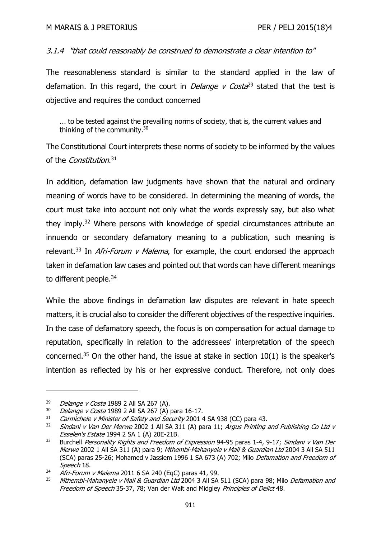## 3.1.4 "that could reasonably be construed to demonstrate a clear intention to"

The reasonableness standard is similar to the standard applied in the law of defamation. In this regard, the court in *Delange v Costa*<sup>29</sup> stated that the test is objective and requires the conduct concerned

... to be tested against the prevailing norms of society, that is, the current values and thinking of the community.<sup>30</sup>

The Constitutional Court interprets these norms of society to be informed by the values of the Constitution.<sup>31</sup>

In addition, defamation law judgments have shown that the natural and ordinary meaning of words have to be considered. In determining the meaning of words, the court must take into account not only what the words expressly say, but also what they imply.<sup>32</sup> Where persons with knowledge of special circumstances attribute an innuendo or secondary defamatory meaning to a publication, such meaning is relevant.<sup>33</sup> In *Afri-Forum v Malema*, for example, the court endorsed the approach taken in defamation law cases and pointed out that words can have different meanings to different people.<sup>34</sup>

While the above findings in defamation law disputes are relevant in hate speech matters, it is crucial also to consider the different objectives of the respective inquiries. In the case of defamatory speech, the focus is on compensation for actual damage to reputation, specifically in relation to the addressees' interpretation of the speech concerned.<sup>35</sup> On the other hand, the issue at stake in section 10(1) is the speaker's intention as reflected by his or her expressive conduct. Therefore, not only does

 $29$  Delange v Costa 1989 2 All SA 267 (A).

 $30$  Delange v Costa 1989 2 All SA 267 (A) para 16-17.

 $31$  Carmichele v Minister of Safety and Security 2001 4 SA 938 (CC) para 43.<br> $32$  Sindani v Van Der Merwe 2002 1 All SA 311 (A) para 11: Argus Printing

Sindani v Van Der Merwe 2002 1 All SA 311 (A) para 11; Argus Printing and Publishing Co Ltd v Esselen's Estate 1994 2 SA 1 (A) 20E-21B.

<sup>33</sup> Burchell Personality Rights and Freedom of Expression 94-95 paras 1-4, 9-17; Sindani v Van Der Merwe 2002 1 All SA 311 (A) para 9; Mthembi-Mahanyele v Mail & Guardian Ltd 2004 3 All SA 511 (SCA) paras 25-26; Mohamed v Jassiem 1996 1 SA 673 (A) 702; Milo Defamation and Freedom of Speech 18.

 $\frac{\dot{M}}{4}$  Afri-Forum v Malema 2011 6 SA 240 (EqC) paras 41, 99.

Mthembi-Mahanyele v Mail & Guardian Ltd 2004 3 All SA 511 (SCA) para 98; Milo Defamation and Freedom of Speech 35-37, 78; Van der Walt and Midgley Principles of Delict 48.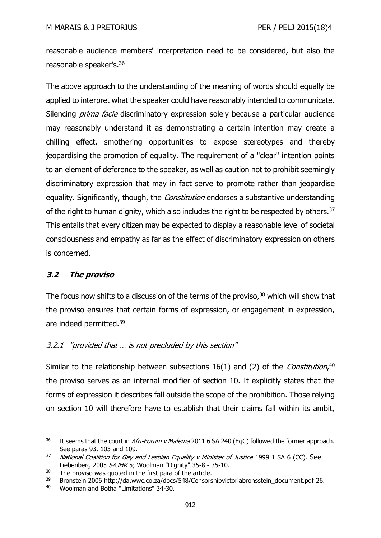reasonable audience members' interpretation need to be considered, but also the reasonable speaker's.<sup>36</sup>

The above approach to the understanding of the meaning of words should equally be applied to interpret what the speaker could have reasonably intended to communicate. Silencing *prima facie* discriminatory expression solely because a particular audience may reasonably understand it as demonstrating a certain intention may create a chilling effect, smothering opportunities to expose stereotypes and thereby jeopardising the promotion of equality. The requirement of a "clear" intention points to an element of deference to the speaker, as well as caution not to prohibit seemingly discriminatory expression that may in fact serve to promote rather than jeopardise equality. Significantly, though, the *Constitution* endorses a substantive understanding of the right to human dignity, which also includes the right to be respected by others.<sup>37</sup> This entails that every citizen may be expected to display a reasonable level of societal consciousness and empathy as far as the effect of discriminatory expression on others is concerned.

# **3.2 The proviso**

-

The focus now shifts to a discussion of the terms of the proviso, $38$  which will show that the proviso ensures that certain forms of expression, or engagement in expression, are indeed permitted.<sup>39</sup>

## 3.2.1 "provided that … is not precluded by this section"

Similar to the relationship between subsections  $16(1)$  and (2) of the *Constitution*,<sup>40</sup> the proviso serves as an internal modifier of section 10. It explicitly states that the forms of expression it describes fall outside the scope of the prohibition. Those relying on section 10 will therefore have to establish that their claims fall within its ambit,

<sup>&</sup>lt;sup>36</sup> It seems that the court in *Afri-Forum v Malema* 2011 6 SA 240 (EqC) followed the former approach. See paras 93, 103 and 109.

 $37$  National Coalition for Gay and Lesbian Equality v Minister of Justice 1999 1 SA 6 (CC). See Liebenberg 2005 SAJHR 5; Woolman "Dignity" 35-8 - 35-10.

 $38$  The proviso was quoted in the first para of the article.

<sup>&</sup>lt;sup>39</sup> Bronstein 2006 http://da.wwc.co.za/docs/548/Censorshipvictoriabronsstein\_document.pdf 26.

<sup>40</sup> Woolman and Botha "Limitations" 34-30.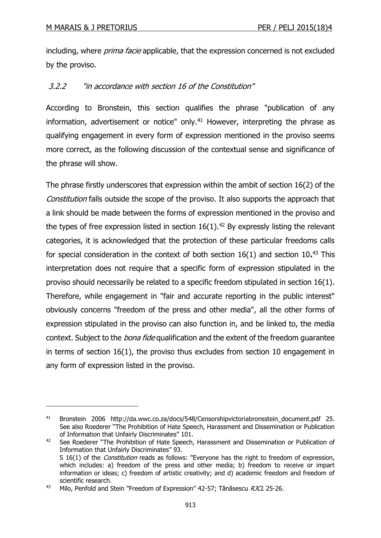-

including, where *prima facie* applicable, that the expression concerned is not excluded by the proviso.

## 3.2.2 "in accordance with section 16 of the Constitution"

According to Bronstein, this section qualifies the phrase "publication of any information, advertisement or notice" only.<sup>41</sup> However, interpreting the phrase as qualifying engagement in every form of expression mentioned in the proviso seems more correct, as the following discussion of the contextual sense and significance of the phrase will show.

The phrase firstly underscores that expression within the ambit of section 16(2) of the Constitution falls outside the scope of the proviso. It also supports the approach that a link should be made between the forms of expression mentioned in the proviso and the types of free expression listed in section  $16(1)$ .<sup>42</sup> By expressly listing the relevant categories, it is acknowledged that the protection of these particular freedoms calls for special consideration in the context of both section 16(1) and section 10**.** <sup>43</sup> This interpretation does not require that a specific form of expression stipulated in the proviso should necessarily be related to a specific freedom stipulated in section 16(1). Therefore, while engagement in "fair and accurate reporting in the public interest" obviously concerns "freedom of the press and other media", all the other forms of expression stipulated in the proviso can also function in, and be linked to, the media context. Subject to the *bona fide* qualification and the extent of the freedom guarantee in terms of section 16(1), the proviso thus excludes from section 10 engagement in any form of expression listed in the proviso.

<sup>41</sup> Bronstein 2006 http://da.wwc.co.za/docs/548/Censorshipvictoriabronsstein document.pdf 25. See also Roederer "The Prohibition of Hate Speech, Harassment and Dissemination or Publication of Information that Unfairly Discriminates" 101.

<sup>&</sup>lt;sup>42</sup> See Roederer "The Prohibition of Hate Speech, Harassment and Dissemination or Publication of Information that Unfairly Discriminates" 93. S 16(1) of the *Constitution* reads as follows: "Everyone has the right to freedom of expression, which includes: a) freedom of the press and other media; b) freedom to receive or impart information or ideas; c) freedom of artistic creativity; and d) academic freedom and freedom of scientific research.

<sup>&</sup>lt;sup>43</sup> Milo, Penfold and Stein "Freedom of Expression" 42-57; Tănăsescu *RJCL* 25-26.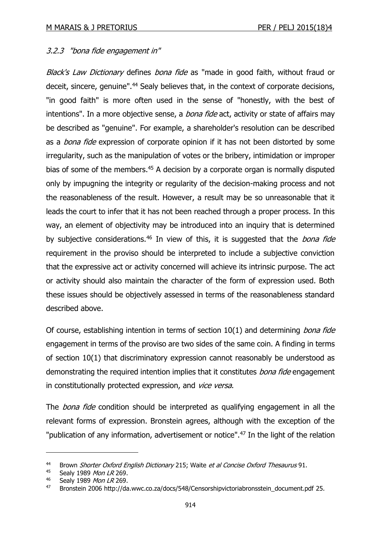## 3.2.3 "bona fide engagement in"

Black's Law Dictionary defines bona fide as "made in good faith, without fraud or deceit, sincere, genuine".<sup>44</sup> Sealy believes that, in the context of corporate decisions, "in good faith" is more often used in the sense of "honestly, with the best of intentions". In a more objective sense, a *bona fide* act, activity or state of affairs may be described as "genuine". For example, a shareholder's resolution can be described as a *bona fide* expression of corporate opinion if it has not been distorted by some irregularity, such as the manipulation of votes or the bribery, intimidation or improper bias of some of the members.<sup>45</sup> A decision by a corporate organ is normally disputed only by impugning the integrity or regularity of the decision-making process and not the reasonableness of the result. However, a result may be so unreasonable that it leads the court to infer that it has not been reached through a proper process. In this way, an element of objectivity may be introduced into an inquiry that is determined by subjective considerations.<sup>46</sup> In view of this, it is suggested that the *bona fide* requirement in the proviso should be interpreted to include a subjective conviction that the expressive act or activity concerned will achieve its intrinsic purpose. The act or activity should also maintain the character of the form of expression used. Both these issues should be objectively assessed in terms of the reasonableness standard described above.

Of course, establishing intention in terms of section  $10(1)$  and determining *bona fide* engagement in terms of the proviso are two sides of the same coin. A finding in terms of section 10(1) that discriminatory expression cannot reasonably be understood as demonstrating the required intention implies that it constitutes bona fide engagement in constitutionally protected expression, and vice versa.

The *bona fide* condition should be interpreted as qualifying engagement in all the relevant forms of expression. Bronstein agrees, although with the exception of the "publication of any information, advertisement or notice".<sup>47</sup> In the light of the relation

<sup>&</sup>lt;sup>44</sup> Brown *Shorter Oxford English Dictionary* 215; Waite *et al Concise Oxford Thesaurus* 91.<br><sup>45</sup> Sealy 1989 *Mon LB* 269

Sealy 1989 Mon LR 269.

<sup>46</sup> Sealy 1989 Mon LR 269.

<sup>47</sup> Bronstein 2006 http://da.wwc.co.za/docs/548/Censorshipvictoriabronsstein\_document.pdf 25.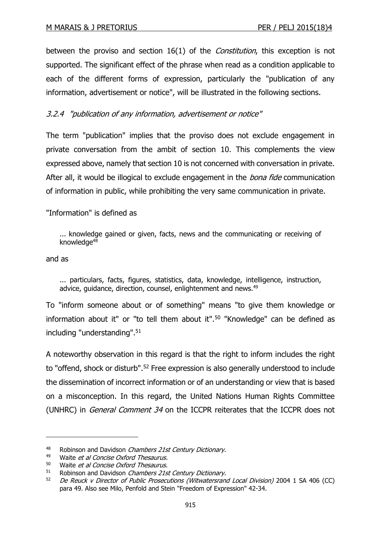between the proviso and section 16(1) of the *Constitution*, this exception is not supported. The significant effect of the phrase when read as a condition applicable to each of the different forms of expression, particularly the "publication of any information, advertisement or notice", will be illustrated in the following sections.

# 3.2.4 "publication of any information, advertisement or notice"

The term "publication" implies that the proviso does not exclude engagement in private conversation from the ambit of section 10. This complements the view expressed above, namely that section 10 is not concerned with conversation in private. After all, it would be illogical to exclude engagement in the *bona fide* communication of information in public, while prohibiting the very same communication in private.

## "Information" is defined as

... knowledge gained or given, facts, news and the communicating or receiving of knowledge<sup>48</sup>

and as

-

... particulars, facts, figures, statistics, data, knowledge, intelligence, instruction, advice, guidance, direction, counsel, enlightenment and news.<sup>49</sup>

To "inform someone about or of something" means "to give them knowledge or information about it" or "to tell them about it".<sup>50</sup> "Knowledge" can be defined as including "understanding".<sup>51</sup>

A noteworthy observation in this regard is that the right to inform includes the right to "offend, shock or disturb".<sup>52</sup> Free expression is also generally understood to include the dissemination of incorrect information or of an understanding or view that is based on a misconception. In this regard, the United Nations Human Rights Committee (UNHRC) in General Comment 34 on the ICCPR reiterates that the ICCPR does not

<sup>48</sup> Robinson and Davidson Chambers 21st Century Dictionary.<br>49 Maits at al Consise Oxford Theory is

<sup>&</sup>lt;sup>49</sup> Waite *et al Concise Oxford Thesaurus.*<br> $^{50}$  Waite *et al Concise Oxford Thesaurus*.

 $^{50}$  Waite *et al Concise Oxford Thesaurus.*<br> $^{51}$  Bobinson and Davidson *Chambers* 21s

Robinson and Davidson Chambers 21st Century Dictionary.

<sup>52</sup> De Reuck v Director of Public Prosecutions (Witwatersrand Local Division) 2004 1 SA 406 (CC) para 49. Also see Milo, Penfold and Stein "Freedom of Expression" 42-34.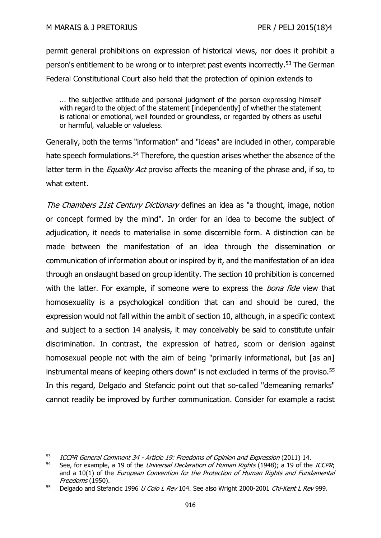-

permit general prohibitions on expression of historical views, nor does it prohibit a person's entitlement to be wrong or to interpret past events incorrectly.<sup>53</sup> The German Federal Constitutional Court also held that the protection of opinion extends to

... the subjective attitude and personal judgment of the person expressing himself with regard to the object of the statement [independently] of whether the statement is rational or emotional, well founded or groundless, or regarded by others as useful or harmful, valuable or valueless.

Generally, both the terms "information" and "ideas" are included in other, comparable hate speech formulations.<sup>54</sup> Therefore, the question arises whether the absence of the latter term in the *Equality Act* proviso affects the meaning of the phrase and, if so, to what extent.

The Chambers 21st Century Dictionary defines an idea as "a thought, image, notion or concept formed by the mind". In order for an idea to become the subject of adjudication, it needs to materialise in some discernible form. A distinction can be made between the manifestation of an idea through the dissemination or communication of information about or inspired by it, and the manifestation of an idea through an onslaught based on group identity. The section 10 prohibition is concerned with the latter. For example, if someone were to express the *bona fide* view that homosexuality is a psychological condition that can and should be cured, the expression would not fall within the ambit of section 10, although, in a specific context and subject to a section 14 analysis, it may conceivably be said to constitute unfair discrimination. In contrast, the expression of hatred, scorn or derision against homosexual people not with the aim of being "primarily informational, but [as an] instrumental means of keeping others down" is not excluded in terms of the proviso.<sup>55</sup> In this regard, Delgado and Stefancic point out that so-called "demeaning remarks" cannot readily be improved by further communication. Consider for example a racist

<sup>53</sup> ICCPR General Comment 34 - Article 19: Freedoms of Opinion and Expression (2011) 14.

See, for example, a 19 of the Universal Declaration of Human Rights (1948); a 19 of the ICCPR; and a  $10(1)$  of the *European Convention for the Protection of Human Rights and Fundamental* Freedoms (1950).

<sup>55</sup> Delgado and Stefancic 1996 U Colo L Rev 104. See also Wright 2000-2001 Chi-Kent L Rev 999.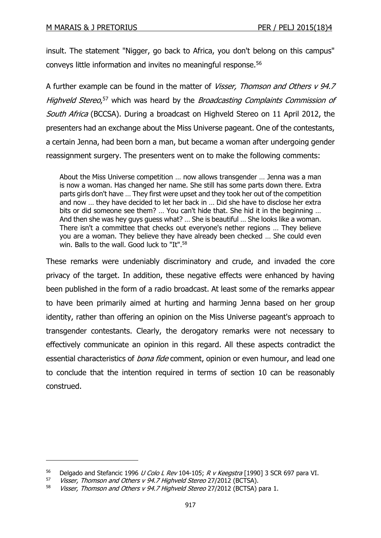insult. The statement "Nigger, go back to Africa, you don't belong on this campus" conveys little information and invites no meaningful response.<sup>56</sup>

A further example can be found in the matter of *Visser, Thomson and Others v 94.7* Highveld Stereo,<sup>57</sup> which was heard by the Broadcasting Complaints Commission of South Africa (BCCSA). During a broadcast on Highveld Stereo on 11 April 2012, the presenters had an exchange about the Miss Universe pageant. One of the contestants, a certain Jenna, had been born a man, but became a woman after undergoing gender reassignment surgery. The presenters went on to make the following comments:

About the Miss Universe competition … now allows transgender … Jenna was a man is now a woman. Has changed her name. She still has some parts down there. Extra parts girls don't have … They first were upset and they took her out of the competition and now … they have decided to let her back in … Did she have to disclose her extra bits or did someone see them? … You can't hide that. She hid it in the beginning … And then she was hey guys guess what? … She is beautiful … She looks like a woman. There isn't a committee that checks out everyone's nether regions … They believe you are a woman. They believe they have already been checked … She could even win. Balls to the wall. Good luck to "It".<sup>58</sup>

These remarks were undeniably discriminatory and crude, and invaded the core privacy of the target. In addition, these negative effects were enhanced by having been published in the form of a radio broadcast. At least some of the remarks appear to have been primarily aimed at hurting and harming Jenna based on her group identity, rather than offering an opinion on the Miss Universe pageant's approach to transgender contestants. Clearly, the derogatory remarks were not necessary to effectively communicate an opinion in this regard. All these aspects contradict the essential characteristics of *bona fide* comment, opinion or even humour, and lead one to conclude that the intention required in terms of section 10 can be reasonably construed.

<sup>&</sup>lt;sup>56</sup> Delgado and Stefancic 1996 *U Colo L Rev* 104-105; *R v Keegstra* [1990] 3 SCR 697 para VI.<br><sup>57</sup> *Visser, Thomson and Others v 94.7 Highveld Stereo* 27/2012 (BCTSA)

Visser, Thomson and Others v 94.7 Highveld Stereo 27/2012 (BCTSA).

<sup>58</sup> Visser, Thomson and Others v 94.7 Highveld Stereo 27/2012 (BCTSA) para 1.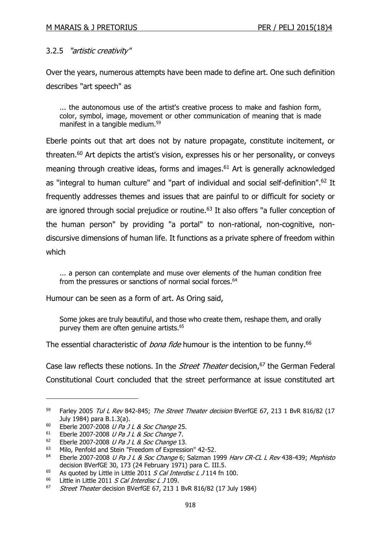## 3.2.5 "artistic creativity"

Over the years, numerous attempts have been made to define art. One such definition describes "art speech" as

... the autonomous use of the artist's creative process to make and fashion form, color, symbol, image, movement or other communication of meaning that is made manifest in a tangible medium.<sup>59</sup>

Eberle points out that art does not by nature propagate, constitute incitement, or threaten.<sup>60</sup> Art depicts the artist's vision, expresses his or her personality, or conveys meaning through creative ideas, forms and images. <sup>61</sup> Art is generally acknowledged as "integral to human culture" and "part of individual and social self-definition".<sup>62</sup> It frequently addresses themes and issues that are painful to or difficult for society or are ignored through social prejudice or routine.<sup>63</sup> It also offers "a fuller conception of the human person" by providing "a portal" to non-rational, non-cognitive, nondiscursive dimensions of human life. It functions as a private sphere of freedom within which

... a person can contemplate and muse over elements of the human condition free from the pressures or sanctions of normal social forces.<sup>64</sup>

Humour can be seen as a form of art. As Oring said,

Some jokes are truly beautiful, and those who create them, reshape them, and orally purvey them are often genuine artists.<sup>65</sup>

The essential characteristic of *bona fide* humour is the intention to be funny.<sup>66</sup>

Case law reflects these notions. In the *Street Theater* decision,<sup>67</sup> the German Federal Constitutional Court concluded that the street performance at issue constituted art

<sup>&</sup>lt;sup>59</sup> Farley 2005 Tul L Rev 842-845; The Street Theater decision BVerfGE 67, 213 1 BvR 816/82 (17 July 1984) para B.1.3(a).

<sup>60</sup> Eberle 2007-2008 *U Pa J L & Soc Change* 25.

<sup>&</sup>lt;sup>61</sup> Eberle 2007-2008 *U Pa J L & Soc Change* 7.<br><sup>62</sup> Eberle 2007-2008 *U Pa 1 L & Soc Change* 13

<sup>&</sup>lt;sup>62</sup> Eberle 2007-2008 *U Pa J L & Soc Change* 13.

Milo, Penfold and Stein "Freedom of Expression" 42-52.

<sup>&</sup>lt;sup>64</sup> Eberle 2007-2008 *U Pa J L & Soc Change* 6; Salzman 1999 Harv CR-CL L Rev 438-439; Mephisto decision BVerfGE 30, 173 (24 February 1971) para C. III.5.

<sup>65</sup> As quoted by Little in Little 2011 *S Cal Interdisc L J* 114 fn 100.

Little in Little 2011 S Cal Interdisc L J 109.

<sup>&</sup>lt;sup>67</sup> Street Theater decision BVerfGE 67, 213 1 BvR 816/82 (17 July 1984)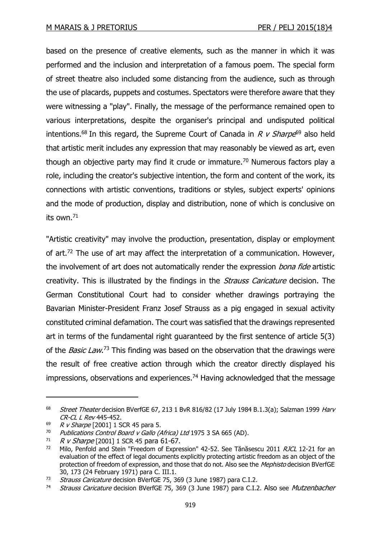based on the presence of creative elements, such as the manner in which it was performed and the inclusion and interpretation of a famous poem. The special form of street theatre also included some distancing from the audience, such as through the use of placards, puppets and costumes. Spectators were therefore aware that they were witnessing a "play". Finally, the message of the performance remained open to various interpretations, despite the organiser's principal and undisputed political intentions.<sup>68</sup> In this regard, the Supreme Court of Canada in R v Sharpe<sup>69</sup> also held that artistic merit includes any expression that may reasonably be viewed as art, even though an objective party may find it crude or immature.<sup>70</sup> Numerous factors play a role, including the creator's subjective intention, the form and content of the work, its connections with artistic conventions, traditions or styles, subject experts' opinions and the mode of production, display and distribution, none of which is conclusive on its own.<sup>71</sup>

"Artistic creativity" may involve the production, presentation, display or employment of art.<sup>72</sup> The use of art may affect the interpretation of a communication. However, the involvement of art does not automatically render the expression *bona fide* artistic creativity. This is illustrated by the findings in the *Strauss Caricature* decision. The German Constitutional Court had to consider whether drawings portraying the Bavarian Minister-President Franz Josef Strauss as a pig engaged in sexual activity constituted criminal defamation. The court was satisfied that the drawings represented art in terms of the fundamental right guaranteed by the first sentence of article 5(3) of the *Basic Law*.<sup>73</sup> This finding was based on the observation that the drawings were the result of free creative action through which the creator directly displayed his impressions, observations and experiences.<sup>74</sup> Having acknowledged that the message

<sup>&</sup>lt;sup>68</sup> Street Theater decision BVerfGE 67, 213 1 BvR 816/82 (17 July 1984 B.1.3(a); Salzman 1999 Harv CR-CL L Rev 445-452.

<sup>69</sup> R v Sharpe [2001] 1 SCR 45 para 5.

<sup>&</sup>lt;sup>70</sup> Publications Control Board v Gallo (Africa) Ltd 1975 3 SA 665 (AD).<br><sup>71</sup> P. v Sharne [2001] 1 SCP 45 para 61-67

 $71$  R v Sharpe [2001] 1 SCR 45 para 61-67.

Milo, Penfold and Stein "Freedom of Expression" 42-52. See Tănăsescu 2011 RJCL 12-21 for an evaluation of the effect of legal documents explicitly protecting artistic freedom as an object of the protection of freedom of expression, and those that do not. Also see the *Mephisto* decision BVerfGE 30, 173 (24 February 1971) para C. III.1.

<sup>&</sup>lt;sup>73</sup> Strauss Caricature decision BVerfGE 75, 369 (3 June 1987) para C.I.2.

<sup>&</sup>lt;sup>74</sup> Strauss Caricature decision BVerfGE 75, 369 (3 June 1987) para C.I.2. Also see Mutzenbacher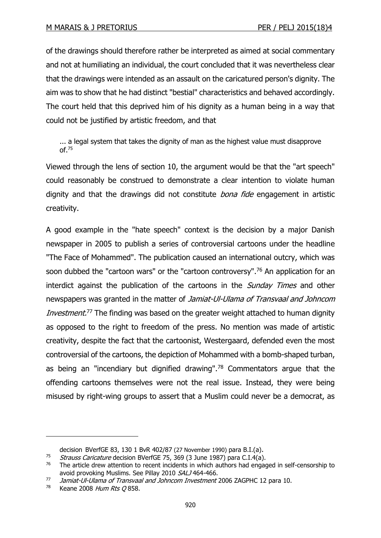of the drawings should therefore rather be interpreted as aimed at social commentary and not at humiliating an individual, the court concluded that it was nevertheless clear that the drawings were intended as an assault on the caricatured person's dignity. The aim was to show that he had distinct "bestial" characteristics and behaved accordingly. The court held that this deprived him of his dignity as a human being in a way that could not be justified by artistic freedom, and that

... a legal system that takes the dignity of man as the highest value must disapprove  $OF.<sup>75</sup>$ 

Viewed through the lens of section 10, the argument would be that the "art speech" could reasonably be construed to demonstrate a clear intention to violate human dignity and that the drawings did not constitute *bona fide* engagement in artistic creativity.

A good example in the "hate speech" context is the decision by a major Danish newspaper in 2005 to publish a series of controversial cartoons under the headline "The Face of Mohammed". The publication caused an international outcry, which was soon dubbed the "cartoon wars" or the "cartoon controversy".<sup>76</sup> An application for an interdict against the publication of the cartoons in the *Sunday Times* and other newspapers was granted in the matter of Jamiat-Ul-Ulama of Transvaal and Johncom Investment.<sup>77</sup> The finding was based on the greater weight attached to human dignity as opposed to the right to freedom of the press. No mention was made of artistic creativity, despite the fact that the cartoonist, Westergaard, defended even the most controversial of the cartoons, the depiction of Mohammed with a bomb-shaped turban, as being an "incendiary but dignified drawing".<sup>78</sup> Commentators argue that the offending cartoons themselves were not the real issue. Instead, they were being misused by right-wing groups to assert that a Muslim could never be a democrat, as

decision BVerfGE 83, 130 1 BvR 402/87 (27 November 1990) para B.I.(a).

<sup>&</sup>lt;sup>75</sup> Strauss Caricature decision BVerfGE 75, 369 (3 June 1987) para C.I.4(a).<br><sup>76</sup> The article drew attention to recent incidents in which authors had engage

The article drew attention to recent incidents in which authors had engaged in self-censorship to avoid provoking Muslims. See Pillay 2010 SALJ 464-466.

 $77$  Jamiat-Ul-Ulama of Transvaal and Johncom Investment 2006 ZAGPHC 12 para 10.

<sup>78</sup> Keane 2008 Hum Rts O 858.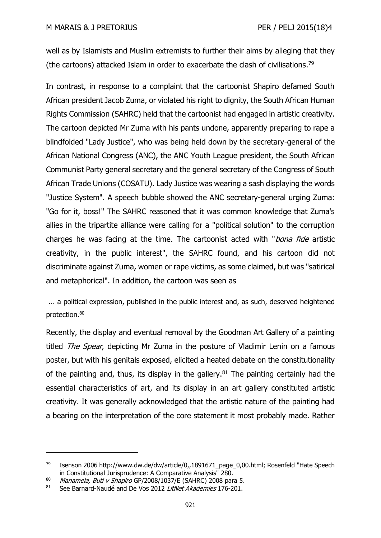well as by Islamists and Muslim extremists to further their aims by alleging that they (the cartoons) attacked Islam in order to exacerbate the clash of civilisations.<sup>79</sup>

In contrast, in response to a complaint that the cartoonist Shapiro defamed South African president Jacob Zuma, or violated his right to dignity, the South African Human Rights Commission (SAHRC) held that the cartoonist had engaged in artistic creativity. The cartoon depicted Mr Zuma with his pants undone, apparently preparing to rape a blindfolded "Lady Justice", who was being held down by the secretary-general of the African National Congress (ANC), the ANC Youth League president, the South African Communist Party general secretary and the general secretary of the Congress of South African Trade Unions (COSATU). Lady Justice was wearing a sash displaying the words "Justice System". A speech bubble showed the ANC secretary-general urging Zuma: "Go for it, boss!" The SAHRC reasoned that it was common knowledge that Zuma's allies in the tripartite alliance were calling for a "political solution" to the corruption charges he was facing at the time. The cartoonist acted with "bona fide artistic creativity, in the public interest", the SAHRC found, and his cartoon did not discriminate against Zuma, women or rape victims, as some claimed, but was "satirical and metaphorical". In addition, the cartoon was seen as

... a political expression, published in the public interest and, as such, deserved heightened protection.<sup>80</sup>

Recently, the display and eventual removal by the Goodman Art Gallery of a painting titled The Spear, depicting Mr Zuma in the posture of Vladimir Lenin on a famous poster, but with his genitals exposed, elicited a heated debate on the constitutionality of the painting and, thus, its display in the gallery. $81$  The painting certainly had the essential characteristics of art, and its display in an art gallery constituted artistic creativity. It was generally acknowledged that the artistic nature of the painting had a bearing on the interpretation of the core statement it most probably made. Rather

<sup>&</sup>lt;sup>79</sup> Isenson 2006 http://www.dw.de/dw/article/0,,1891671\_page\_0,00.html; Rosenfeld "Hate Speech in Constitutional Jurisprudence: A Comparative Analysis" 280.

 $^{80}$  Manamela, Buti v Shapiro GP/2008/1037/E (SAHRC) 2008 para 5.

<sup>81</sup> See Barnard-Naudé and De Vos 2012 LitNet Akademies 176-201.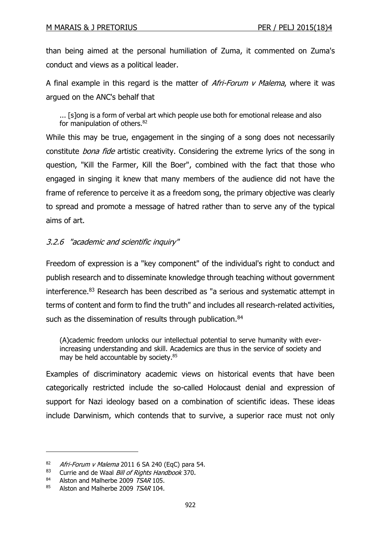than being aimed at the personal humiliation of Zuma, it commented on Zuma's conduct and views as a political leader.

A final example in this regard is the matter of *Afri-Forum v Malema*, where it was argued on the ANC's behalf that

... [s]ong is a form of verbal art which people use both for emotional release and also for manipulation of others.<sup>82</sup>

While this may be true, engagement in the singing of a song does not necessarily constitute *bona fide* artistic creativity. Considering the extreme lyrics of the song in question, "Kill the Farmer, Kill the Boer", combined with the fact that those who engaged in singing it knew that many members of the audience did not have the frame of reference to perceive it as a freedom song, the primary objective was clearly to spread and promote a message of hatred rather than to serve any of the typical aims of art.

# 3.2.6 "academic and scientific inquiry"

Freedom of expression is a "key component" of the individual's right to conduct and publish research and to disseminate knowledge through teaching without government interference.<sup>83</sup> Research has been described as "a serious and systematic attempt in terms of content and form to find the truth" and includes all research-related activities, such as the dissemination of results through publication.<sup>84</sup>

(A)cademic freedom unlocks our intellectual potential to serve humanity with everincreasing understanding and skill. Academics are thus in the service of society and may be held accountable by society.<sup>85</sup>

Examples of discriminatory academic views on historical events that have been categorically restricted include the so-called Holocaust denial and expression of support for Nazi ideology based on a combination of scientific ideas. These ideas include Darwinism, which contends that to survive, a superior race must not only

 $82$  Afri-Forum v Malema 2011 6 SA 240 (EqC) para 54.

<sup>83</sup> Currie and de Waal Bill of Rights Handbook 370.

<sup>84</sup> Alston and Malherbe 2009 TSAR 105.

<sup>85</sup> Alston and Malherbe 2009 TSAR 104.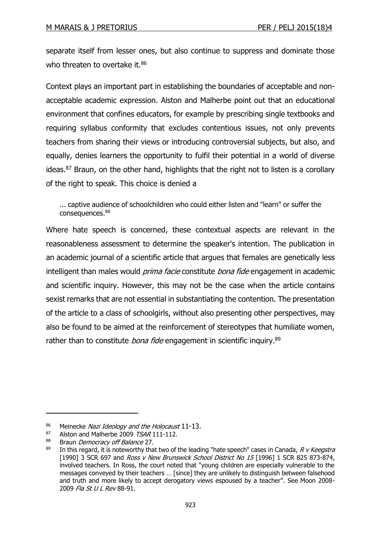separate itself from lesser ones, but also continue to suppress and dominate those who threaten to overtake it.<sup>86</sup>

Context plays an important part in establishing the boundaries of acceptable and nonacceptable academic expression. Alston and Malherbe point out that an educational environment that confines educators, for example by prescribing single textbooks and requiring syllabus conformity that excludes contentious issues, not only prevents teachers from sharing their views or introducing controversial subjects, but also, and equally, denies learners the opportunity to fulfil their potential in a world of diverse ideas. $87$  Braun, on the other hand, highlights that the right not to listen is a corollary of the right to speak. This choice is denied a

... captive audience of schoolchildren who could either listen and "learn" or suffer the consequences.<sup>88</sup>

Where hate speech is concerned, these contextual aspects are relevant in the reasonableness assessment to determine the speaker's intention. The publication in an academic journal of a scientific article that argues that females are genetically less intelligent than males would *prima facie* constitute *bona fide* engagement in academic and scientific inquiry. However, this may not be the case when the article contains sexist remarks that are not essential in substantiating the contention. The presentation of the article to a class of schoolgirls, without also presenting other perspectives, may also be found to be aimed at the reinforcement of stereotypes that humiliate women, rather than to constitute *bona fide* engagement in scientific inquiry.<sup>89</sup>

<sup>86</sup> [Meinecke](http://www.goodreads.com/author/show/6421648.William_Frederick_Meinecke_Jr) Nazi Ideology and the Holocaust 11-13.

<sup>87</sup> Alston and Malherbe 2009 TSAR 111-112.

<sup>&</sup>lt;sup>88</sup> Braun *Democracy off Balance* 27.

In this regard, it is noteworthy that two of the leading "hate speech" cases in Canada, R v Keegstra [1990] 3 SCR 697 and Ross v New Brunswick School District No 15 [1996] 1 SCR 825 873-874, involved teachers. In Ross, the court noted that "young children are especially vulnerable to the messages conveyed by their teachers … [since] they are unlikely to distinguish between falsehood and truth and more likely to accept derogatory views espoused by a teacher". See Moon 2008- 2009 Fla St U L Rev 88-91.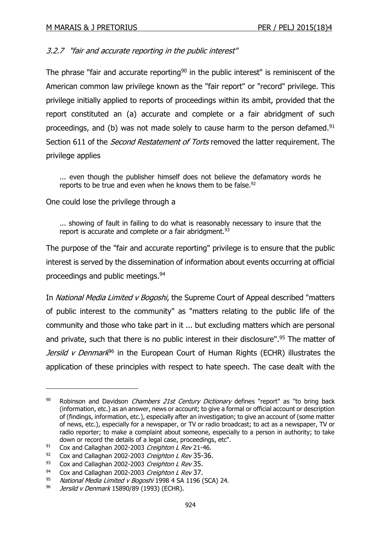# 3.2.7 "fair and accurate reporting in the public interest"

The phrase "fair and accurate reporting<sup>90</sup> in the public interest" is reminiscent of the American common law privilege known as the "fair report" or "record" privilege. This privilege initially applied to reports of proceedings within its ambit, provided that the report constituted an (a) accurate and complete or a fair abridgment of such proceedings, and (b) was not made solely to cause harm to the person defamed.<sup>91</sup> Section 611 of the *Second Restatement of Torts* removed the latter requirement. The privilege applies

... even though the publisher himself does not believe the defamatory words he reports to be true and even when he knows them to be false.<sup>92</sup>

One could lose the privilege through a

... showing of fault in failing to do what is reasonably necessary to insure that the report is accurate and complete or a fair abridgment.<sup>93</sup>

The purpose of the "fair and accurate reporting" privilege is to ensure that the public interest is served by the dissemination of information about events occurring at official proceedings and public meetings.<sup>94</sup>

In National Media Limited v Bogoshi, the Supreme Court of Appeal described "matters of public interest to the community" as "matters relating to the public life of the community and those who take part in it ... but excluding matters which are personal and private, such that there is no public interest in their disclosure".<sup>95</sup> The matter of Jersild v Denmark<sup>96</sup> in the European Court of Human Rights (ECHR) illustrates the application of these principles with respect to hate speech. The case dealt with the

<sup>90</sup> Robinson and Davidson *Chambers 21st Century Dictionary* defines "report" as "to bring back (information, etc.) as an answer, news or account; to give a formal or official account or description of (findings, information, etc.), especially after an investigation; to give an account of (some matter of news, etc.), especially for a newspaper, or TV or radio broadcast; to act as a newspaper, TV or radio reporter; to make a complaint about someone, especially to a person in authority; to take down or record the details of a legal case, proceedings, etc".

 $91$  Cox and Callaghan 2002-2003 Creighton L Rev 21-46.

 $92$  Cox and Callaghan 2002-2003 Creighton L Rev 35-36.

<sup>93</sup> Cox and Callaghan 2002-2003 Creighton L Rev 35.

<sup>94</sup> Cox and Callaghan 2002-2003 Creighton L Rev 37.

National Media Limited v Bogoshi 1998 4 SA 1196 (SCA) 24.

<sup>96</sup> *Jersild v Denmark* 15890/89 (1993) (ECHR).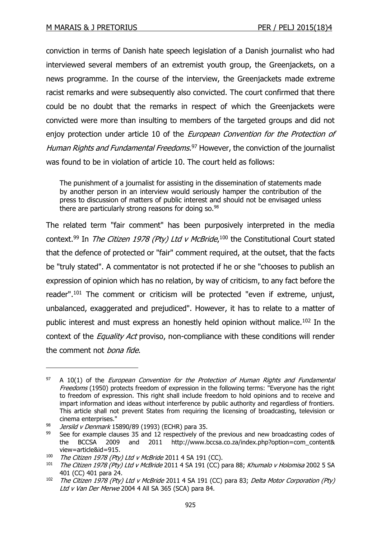conviction in terms of Danish hate speech legislation of a Danish journalist who had interviewed several members of an extremist youth group, the Greenjackets, on a news programme. In the course of the interview, the Greenjackets made extreme racist remarks and were subsequently also convicted. The court confirmed that there could be no doubt that the remarks in respect of which the Greenjackets were convicted were more than insulting to members of the targeted groups and did not enjoy protection under article 10 of the *European Convention for the Protection of* Human Rights and Fundamental Freedoms.<sup>97</sup> However, the conviction of the journalist was found to be in violation of article 10. The court held as follows:

The punishment of a journalist for assisting in the dissemination of statements made by another person in an interview would seriously hamper the contribution of the press to discussion of matters of public interest and should not be envisaged unless there are particularly strong reasons for doing so.<sup>98</sup>

The related term "fair comment" has been purposively interpreted in the media context.<sup>99</sup> In *The Citizen 1978 (Pty) Ltd v McBride*,<sup>100</sup> the Constitutional Court stated that the defence of protected or "fair" comment required, at the outset, that the facts be "truly stated". A commentator is not protected if he or she "chooses to publish an expression of opinion which has no relation, by way of criticism, to any fact before the reader".<sup>101</sup> The comment or criticism will be protected "even if extreme, unjust, unbalanced, exaggerated and prejudiced". However, it has to relate to a matter of public interest and must express an honestly held opinion without malice.<sup>102</sup> In the context of the *Equality Act* proviso, non-compliance with these conditions will render the comment not bona fide.

 $97$  A 10(1) of the *European Convention for the Protection of Human Rights and Fundamental* Freedoms (1950) protects freedom of expression in the following terms: "Everyone has the right to freedom of expression. This right shall include freedom to hold opinions and to receive and impart information and ideas without interference by public authority and regardless of frontiers. This article shall not prevent States from requiring the licensing of broadcasting, television or cinema enterprises."

<sup>98</sup> *Jersild v Denmark* 15890/89 (1993) (ECHR) para 35.

 $99$  See for example clauses 35 and 12 respectively of the previous and new broadcasting codes of the BCCSA 2009 and 2011 http://www.bccsa.co.za/index.php?option=com\_content& view=article&id=915.

<sup>&</sup>lt;sup>100</sup> The Citizen 1978 (Pty) Ltd v McBride 2011 4 SA 191 (CC).<br><sup>101</sup> The Citizen 1978 (Pty) Ltd v McBride 2011 4 SA 191 (CC) r

The Citizen 1978 (Pty) Ltd v McBride 2011 4 SA 191 (CC) para 88; Khumalo v Holomisa 2002 5 SA 401 (CC) 401 para 24.

 $102$  The Citizen 1978 (Pty) Ltd v McBride 2011 4 SA 191 (CC) para 83; Delta Motor Corporation (Pty) Ltd v Van Der Merwe 2004 4 All SA 365 (SCA) para 84.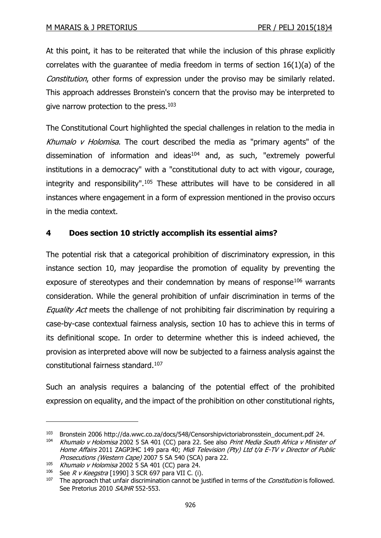At this point, it has to be reiterated that while the inclusion of this phrase explicitly correlates with the guarantee of media freedom in terms of section 16(1)(a) of the Constitution, other forms of expression under the proviso may be similarly related. This approach addresses Bronstein's concern that the proviso may be interpreted to give narrow protection to the press. $103$ 

The Constitutional Court highlighted the special challenges in relation to the media in Khumalo  $v$  Holomisa. The court described the media as "primary agents" of the dissemination of information and ideas<sup>104</sup> and, as such, "extremely powerful institutions in a democracy" with a "constitutional duty to act with vigour, courage, integrity and responsibility".<sup>105</sup> These attributes will have to be considered in all instances where engagement in a form of expression mentioned in the proviso occurs in the media context.

# **4 Does section 10 strictly accomplish its essential aims?**

The potential risk that a categorical prohibition of discriminatory expression, in this instance section 10, may jeopardise the promotion of equality by preventing the exposure of stereotypes and their condemnation by means of response $106$  warrants consideration. While the general prohibition of unfair discrimination in terms of the Equality Act meets the challenge of not prohibiting fair discrimination by requiring a case-by-case contextual fairness analysis, section 10 has to achieve this in terms of its definitional scope. In order to determine whether this is indeed achieved, the provision as interpreted above will now be subjected to a fairness analysis against the constitutional fairness standard.<sup>107</sup>

Such an analysis requires a balancing of the potential effect of the prohibited expression on equality, and the impact of the prohibition on other constitutional rights,

<sup>103</sup> Bronstein 2006 http://da.wwc.co.za/docs/548/Censorshipvictoriabronsstein\_document.pdf 24.

<sup>&</sup>lt;sup>104</sup> Khumalo v Holomisa 2002 5 SA 401 (CC) para 22. See also Print Media South Africa v Minister of Home Affairs 2011 ZAGPJHC 149 para 40; Midi Television (Pty) Ltd t/a E-TV v Director of Public Prosecutions (Western Cape) 2007 5 SA 540 (SCA) para 22.

<sup>&</sup>lt;sup>105</sup> Khumalo v Holomisa 2002 5 SA 401 (CC) para 24.

<sup>&</sup>lt;sup>106</sup> See *R v Keegstra* [1990] 3 SCR 697 para VII C. (i).<br><sup>107</sup> The annroach that unfair discrimination cannot be it

The approach that unfair discrimination cannot be justified in terms of the *Constitution* is followed. See Pretorius 2010 SAJHR 552-553.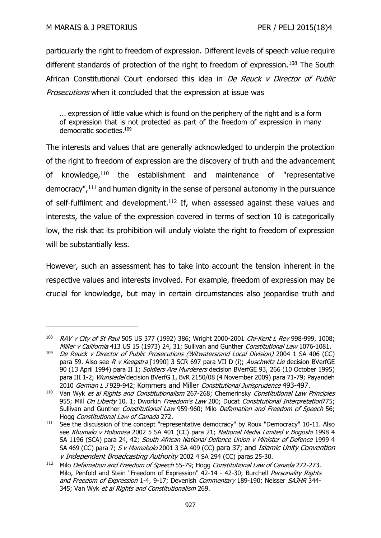-

particularly the right to freedom of expression. Different levels of speech value require different standards of protection of the right to freedom of expression.<sup>108</sup> The South African Constitutional Court endorsed this idea in De Reuck v Director of Public Prosecutions when it concluded that the expression at issue was

... expression of little value which is found on the periphery of the right and is a form of expression that is not protected as part of the freedom of expression in many democratic societies.<sup>109</sup>

The interests and values that are generally acknowledged to underpin the protection of the right to freedom of expression are the discovery of truth and the advancement of knowledge,<sup>110</sup> the establishment and maintenance of "representative democracy",<sup>111</sup> and human dignity in the sense of personal autonomy in the pursuance of self-fulfilment and development.<sup>112</sup> If, when assessed against these values and interests, the value of the expression covered in terms of section 10 is categorically low, the risk that its prohibition will unduly violate the right to freedom of expression will be substantially less.

However, such an assessment has to take into account the tension inherent in the respective values and interests involved. For example, freedom of expression may be crucial for knowledge, but may in certain circumstances also jeopardise truth and

<sup>108</sup> RAV v City of St Paul 505 US 377 (1992) 386; Wright 2000-2001 Chi-Kent L Rev 998-999, 1008; Miller v California 413 US 15 (1973) 24, 31; Sullivan and Gunther Constitutional Law 1076-1081.

<sup>109</sup> De Reuck v Director of Public Prosecutions (Witwatersrand Local Division) 2004 1 SA 406 (CC) para 59. Also see R v Keegstra [1990] 3 SCR 697 para VII D (i); Auschwitz Lie decision BVerfGE 90 (13 April 1994) para II 1; Soldiers Are Murderers decision BVerfGE 93, 266 (10 October 1995) para III 1-2; Wunsiedel decision BVerfG 1, BvR 2150/08 (4 November 2009) para 71-79; Payandeh 2010 German L J 929-942; Kommers and Miller Constitutional Jurisprudence 493-497.

 $110$  Van Wyk et al Rights and Constitutionalism 267-268; Chemerinsky Constitutional Law Principles 955; Mill On Liberty 10, 1; Dworkin Freedom's Law 200; Ducat Constitutional Interpretation775; Sullivan and Gunther Constitutional Law 959-960; Milo Defamation and Freedom of Speech 56; Hogg Constitutional Law of Canada 272.

 $111$  See the discussion of the concept "representative democracy" by Roux "Democracy" 10-11. Also see Khumalo v Holomisa 2002 5 SA 401 (CC) para 21; National Media Limited v Bogoshi 1998 4 SA 1196 (SCA) para 24, 42; South African National Defence Union v Minister of Defence 1999 4 SA 469 (CC) para 7; S v Mamabolo [2001 3 SA 409 \(CC\)](http://www.saflii.org/cgi-bin/LawCite?cit=2001%20%283%29%20SA%20409) para 37; and Islamic Unity Convention <sup>v</sup> Independent Broadcasting Authority 2002 4 SA 294 (CC) paras 25-30.

<sup>&</sup>lt;sup>112</sup> Milo Defamation and Freedom of Speech 55-79; Hogg Constitutional Law of Canada 272-273. Milo, Penfold and Stein "Freedom of Expression" 42-14 - 42-30; Burchell Personality Rights and Freedom of Expression 1-4, 9-17; Devenish Commentary 189-190; Neisser SAJHR 344-345; Van Wyk et al Rights and Constitutionalism 269.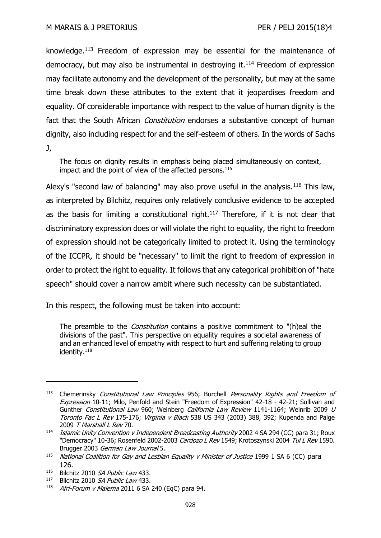knowledge.<sup>113</sup> Freedom of expression may be essential for the maintenance of democracy, but may also be instrumental in destroying it.<sup>114</sup> Freedom of expression may facilitate autonomy and the development of the personality, but may at the same time break down these attributes to the extent that it jeopardises freedom and equality. Of considerable importance with respect to the value of human dignity is the fact that the South African *Constitution* endorses a substantive concept of human dignity, also including respect for and the self-esteem of others. In the words of Sachs J,

The focus on dignity results in emphasis being placed simultaneously on context, impact and the point of view of the affected persons.<sup>115</sup>

Alexy's "second law of balancing" may also prove useful in the analysis.<sup>116</sup> This law, as interpreted by Bilchitz, requires only relatively conclusive evidence to be accepted as the basis for limiting a constitutional right.<sup>117</sup> Therefore, if it is not clear that discriminatory expression does or will violate the right to equality, the right to freedom of expression should not be categorically limited to protect it. Using the terminology of the ICCPR, it should be "necessary" to limit the right to freedom of expression in order to protect the right to equality. It follows that any categorical prohibition of "hate speech" should cover a narrow ambit where such necessity can be substantiated.

In this respect, the following must be taken into account:

The preamble to the *Constitution* contains a positive commitment to "(h)eal the divisions of the past". This perspective on equality requires a societal awareness of and an enhanced level of empathy with respect to hurt and suffering relating to group identity.<sup>118</sup>

<sup>&</sup>lt;sup>113</sup> Chemerinsky Constitutional Law Principles 956; Burchell Personality Rights and Freedom of Expression 10-11; Milo, Penfold and Stein "Freedom of Expression" 42-18 - 42-21; Sullivan and Gunther Constitutional Law 960; Weinberg California Law Review 1141-1164; Weinrib 2009 U Toronto Fac L Rev 175-176; Virginia v Black 538 US 343 (2003) 388, 392; Kupenda and Paige 2009 T Marshall L Rev 70.

<sup>&</sup>lt;sup>114</sup> Islamic Unity Convention y Independent Broadcasting Authority 2002 4 SA 294 (CC) para 31; Roux "Democracy" 10-36; Rosenfeld 2002-2003 Cardozo L Rev 1549; Krotoszynski 2004 Tul L Rev 1590. Brugger 2003 German Law Journal 5.

 $115$  National Coalition for Gay and Lesbian Equality v Minister of Justice 1999 1 SA 6 (CC) para 126.

<sup>116</sup> Bilchitz 2010 SA Public Law 433.

<sup>117</sup> Bilchitz 2010 SA Public Law 433.

 $118$  Afri-Forum v Malema 2011 6 SA 240 (EqC) para 94.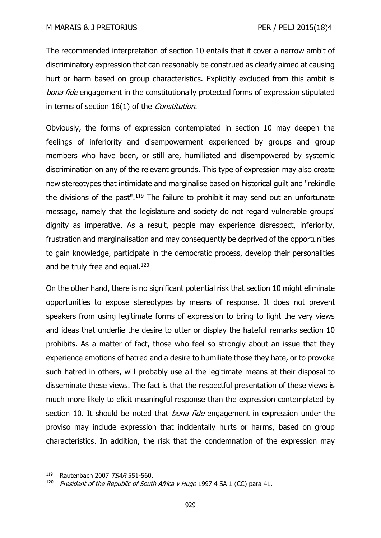The recommended interpretation of section 10 entails that it cover a narrow ambit of discriminatory expression that can reasonably be construed as clearly aimed at causing hurt or harm based on group characteristics. Explicitly excluded from this ambit is bona fide engagement in the constitutionally protected forms of expression stipulated in terms of section 16(1) of the Constitution.

Obviously, the forms of expression contemplated in section 10 may deepen the feelings of inferiority and disempowerment experienced by groups and group members who have been, or still are, humiliated and disempowered by systemic discrimination on any of the relevant grounds. This type of expression may also create new stereotypes that intimidate and marginalise based on historical guilt and "rekindle the divisions of the past".<sup>119</sup> The failure to prohibit it may send out an unfortunate message, namely that the legislature and society do not regard vulnerable groups' dignity as imperative. As a result, people may experience disrespect, inferiority, frustration and marginalisation and may consequently be deprived of the opportunities to gain knowledge, participate in the democratic process, develop their personalities and be truly free and equal. $120$ 

On the other hand, there is no significant potential risk that section 10 might eliminate opportunities to expose stereotypes by means of response. It does not prevent speakers from using legitimate forms of expression to bring to light the very views and ideas that underlie the desire to utter or display the hateful remarks section 10 prohibits. As a matter of fact, those who feel so strongly about an issue that they experience emotions of hatred and a desire to humiliate those they hate, or to provoke such hatred in others, will probably use all the legitimate means at their disposal to disseminate these views. The fact is that the respectful presentation of these views is much more likely to elicit meaningful response than the expression contemplated by section 10. It should be noted that *bona fide* engagement in expression under the proviso may include expression that incidentally hurts or harms, based on group characteristics. In addition, the risk that the condemnation of the expression may

<sup>119</sup> Rautenbach 2007 TSAR 551-560.

<sup>&</sup>lt;sup>120</sup> President of the Republic of South Africa v Hugo 1997 4 SA 1 (CC) para 41.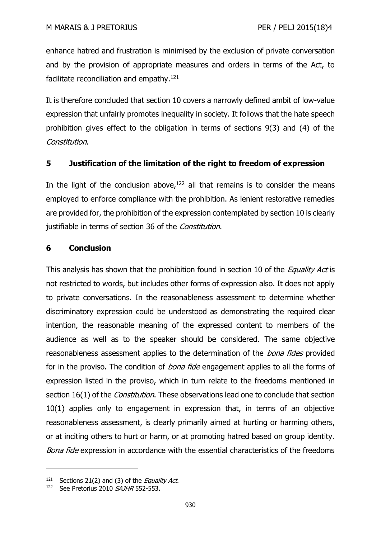enhance hatred and frustration is minimised by the exclusion of private conversation and by the provision of appropriate measures and orders in terms of the Act, to facilitate reconciliation and empathy.<sup>121</sup>

It is therefore concluded that section 10 covers a narrowly defined ambit of low-value expression that unfairly promotes inequality in society. It follows that the hate speech prohibition gives effect to the obligation in terms of sections 9(3) and (4) of the Constitution.

# **5 Justification of the limitation of the right to freedom of expression**

In the light of the conclusion above, $122$  all that remains is to consider the means employed to enforce compliance with the prohibition. As lenient restorative remedies are provided for, the prohibition of the expression contemplated by section 10 is clearly justifiable in terms of section 36 of the Constitution.

## **6 Conclusion**

This analysis has shown that the prohibition found in section 10 of the *Equality Act* is not restricted to words, but includes other forms of expression also. It does not apply to private conversations. In the reasonableness assessment to determine whether discriminatory expression could be understood as demonstrating the required clear intention, the reasonable meaning of the expressed content to members of the audience as well as to the speaker should be considered. The same objective reasonableness assessment applies to the determination of the *bona fides* provided for in the proviso. The condition of *bona fide* engagement applies to all the forms of expression listed in the proviso, which in turn relate to the freedoms mentioned in section 16(1) of the *Constitution*. These observations lead one to conclude that section 10(1) applies only to engagement in expression that, in terms of an objective reasonableness assessment, is clearly primarily aimed at hurting or harming others, or at inciting others to hurt or harm, or at promoting hatred based on group identity. Bona fide expression in accordance with the essential characteristics of the freedoms

 $121$  Sections 21(2) and (3) of the *Equality Act*.

<sup>122</sup> See Pretorius 2010  $SÁJHR$  552-553.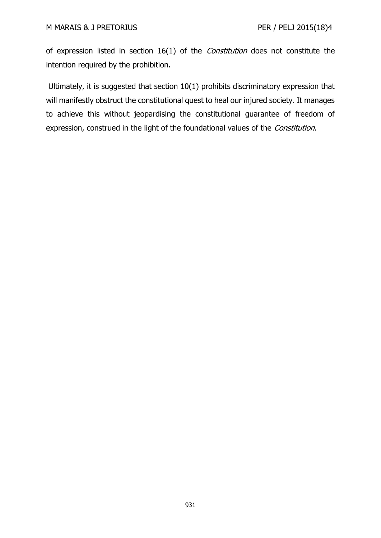of expression listed in section 16(1) of the *Constitution* does not constitute the intention required by the prohibition.

Ultimately, it is suggested that section 10(1) prohibits discriminatory expression that will manifestly obstruct the constitutional quest to heal our injured society. It manages to achieve this without jeopardising the constitutional guarantee of freedom of expression, construed in the light of the foundational values of the *Constitution*.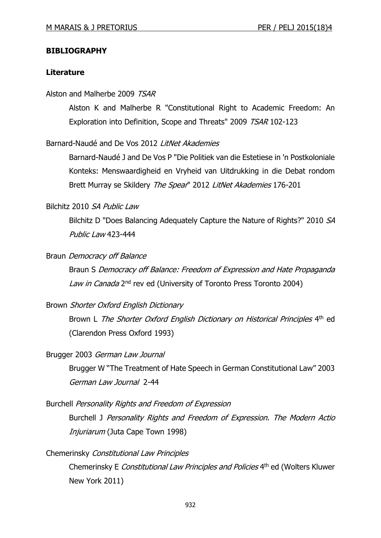#### **BIBLIOGRAPHY**

#### **Literature**

#### Alston and Malherbe 2009 TSAR

Alston K and Malherbe R "Constitutional Right to Academic Freedom: An Exploration into Definition, Scope and Threats" 2009 TSAR 102-123

## Barnard-Naudé and De Vos 2012 LitNet Akademies

Barnard-Naudé J and De Vos P "Die Politiek van die Estetiese in 'n Postkoloniale Konteks: Menswaardigheid en Vryheid van Uitdrukking in die Debat rondom Brett Murray se Skildery The Spear" 2012 LitNet Akademies 176-201

## Bilchitz 2010 SA Public Law

Bilchitz D "Does Balancing Adequately Capture the Nature of Rights?" 2010 SA Public Law 423-444

#### Braun Democracy off Balance

Braun S Democracy off Balance: Freedom of Expression and Hate Propaganda Law in Canada 2<sup>nd</sup> rev ed (University of Toronto Press Toronto 2004)

#### Brown Shorter Oxford English Dictionary

Brown L The Shorter Oxford English Dictionary on Historical Principles 4<sup>th</sup> ed (Clarendon Press Oxford 1993)

#### Brugger 2003 German Law Journal

Brugger W "The Treatment of Hate Speech in German Constitutional Law" 2003 German Law Journal 2-44

#### Burchell Personality Rights and Freedom of Expression

Burchell J Personality Rights and Freedom of Expression. The Modern Actio Injuriarum (Juta Cape Town 1998)

### Chemerinsky Constitutional Law Principles

Chemerinsky E Constitutional Law Principles and Policies 4<sup>th</sup> ed (Wolters Kluwer New York 2011)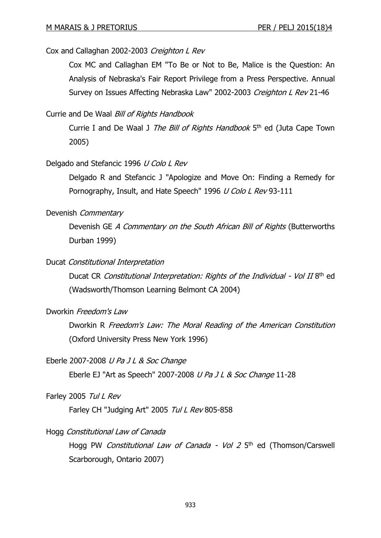## Cox and Callaghan 2002-2003 Creighton L Rev

Cox MC and Callaghan EM "To Be or Not to Be, Malice is the Question: An Analysis of Nebraska's Fair Report Privilege from a Press Perspective. Annual Survey on Issues Affecting Nebraska Law" 2002-2003 Creighton L Rev 21-46

### Currie and De Waal Bill of Rights Handbook

Currie I and De Waal J The Bill of Rights Handbook 5<sup>th</sup> ed (Juta Cape Town 2005)

#### Delgado and Stefancic 1996 U Colo L Rev

Delgado R and Stefancic J "Apologize and Move On: Finding a Remedy for Pornography, Insult, and Hate Speech" 1996 U Colo L Rev 93-111

#### Devenish Commentary

Devenish GE A Commentary on the South African Bill of Rights (Butterworths Durban 1999)

#### Ducat Constitutional Interpretation

Ducat CR Constitutional Interpretation: Rights of the Individual - Vol II 8<sup>th</sup> ed (Wadsworth/Thomson Learning Belmont CA 2004)

## Dworkin Freedom's Law

Dworkin R Freedom's Law: The Moral Reading of the American Constitution (Oxford University Press New York 1996)

#### Eberle 2007-2008 *U Pa J L & Soc Change*

Eberle EJ "Art as Speech" 2007-2008 U Pa J L & Soc Change 11-28

#### Farley 2005 Tul L Rev

Farley CH "Judging Art" 2005 Tul L Rev 805-858

#### Hogg Constitutional Law of Canada

Hogg PW Constitutional Law of Canada - Vol 2 5<sup>th</sup> ed (Thomson/Carswell Scarborough, Ontario 2007)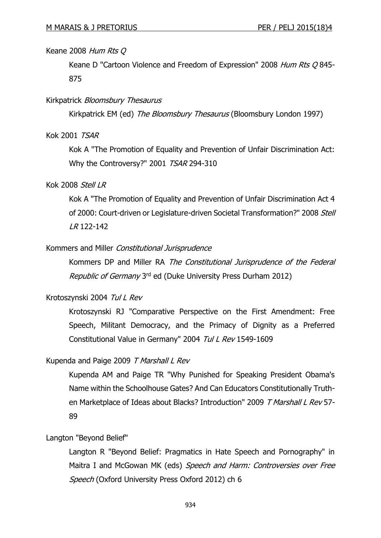### Keane 2008 Hum Rts Q

Keane D "Cartoon Violence and Freedom of Expression" 2008 Hum Rts Q 845-875

#### Kirkpatrick Bloomsbury Thesaurus

Kirkpatrick EM (ed) The Bloomsbury Thesaurus (Bloomsbury London 1997)

## Kok 2001 TSAR

Kok A "The Promotion of Equality and Prevention of Unfair Discrimination Act: Why the Controversy?" 2001 TSAR 294-310

#### Kok 2008 Stell LR

Kok A "The Promotion of Equality and Prevention of Unfair Discrimination Act 4 of 2000: Court-driven or Legislature-driven Societal Transformation?" 2008 Stell LR 122-142

### Kommers and Miller Constitutional Jurisprudence

Kommers DP and Miller RA The Constitutional Jurisprudence of the Federal Republic of Germany 3<sup>rd</sup> ed (Duke University Press Durham 2012)

### Krotoszynski 2004 Tul L Rev

Krotoszynski RJ "Comparative Perspective on the First Amendment: Free Speech, Militant Democracy, and the Primacy of Dignity as a Preferred Constitutional Value in Germany" 2004 Tul L Rev 1549-1609

#### Kupenda and Paige 2009 T Marshall L Rev

Kupenda AM and Paige TR "Why Punished for Speaking President Obama's Name within the Schoolhouse Gates? And Can Educators Constitutionally Truthen Marketplace of Ideas about Blacks? Introduction" 2009 T Marshall L Rev 57-89

#### Langton "Beyond Belief"

Langton R "Beyond Belief: Pragmatics in Hate Speech and Pornography" in Maitra I and McGowan MK (eds) Speech and Harm: Controversies over Free Speech (Oxford University Press Oxford 2012) ch 6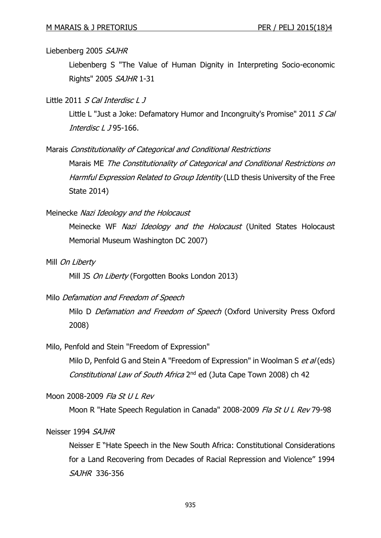#### Liebenberg 2005 SAJHR

Liebenberg S "The Value of Human Dignity in Interpreting Socio-economic Rights" 2005 SAJHR 1-31

Little 2011 S Cal Interdisc L J

Little L "Just a Joke: Defamatory Humor and Incongruity's Promise" 2011 S Cal Interdisc L J 95-166.

Marais Constitutionality of Categorical and Conditional Restrictions

Marais ME The Constitutionality of Categorical and Conditional Restrictions on Harmful Expression Related to Group Identity (LLD thesis University of the Free State 2014)

Meinecke Nazi Ideology and the Holocaust

Meinecke WF Nazi Ideology and the Holocaust (United States Holocaust Memorial Museum Washington DC 2007)

Mill On Liberty

Mill JS On Liberty (Forgotten Books London 2013)

# Milo Defamation and Freedom of Speech

Milo D Defamation and Freedom of Speech (Oxford University Press Oxford 2008)

Milo, Penfold and Stein "Freedom of Expression"

Milo D, Penfold G and Stein A "Freedom of Expression" in Woolman S et al (eds) Constitutional Law of South Africa 2<sup>nd</sup> ed (Juta Cape Town 2008) ch 42

#### Moon 2008-2009 Fla St U L Rev

Moon R "Hate Speech Regulation in Canada" 2008-2009 Fla St U L Rev 79-98

#### Neisser 1994 SAJHR

Neisser E "Hate Speech in the New South Africa: Constitutional Considerations for a Land Recovering from Decades of Racial Repression and Violence" 1994 SAJHR 336-356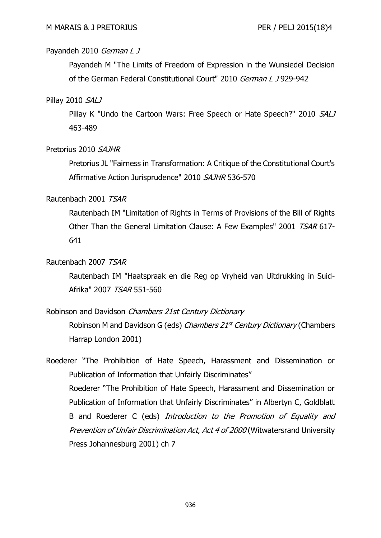# Payandeh 2010 German L J

Payandeh M "The Limits of Freedom of Expression in the Wunsiedel Decision of the German Federal Constitutional Court" 2010 German L J 929-942

## Pillay 2010 SALJ

Pillay K "Undo the Cartoon Wars: Free Speech or Hate Speech?" 2010 SALJ 463-489

## Pretorius 2010 SAJHR

Pretorius JL "Fairness in Transformation: A Critique of the Constitutional Court's Affirmative Action Jurisprudence" 2010 SAJHR 536-570

## Rautenbach 2001 TSAR

Rautenbach IM "Limitation of Rights in Terms of Provisions of the Bill of Rights Other Than the General Limitation Clause: A Few Examples" 2001 TSAR 617- 641

## Rautenbach 2007 TSAR

Rautenbach IM "Haatspraak en die Reg op Vryheid van Uitdrukking in Suid-Afrika" 2007 TSAR 551-560

# Robinson and Davidson Chambers 21st Century Dictionary

Robinson M and Davidson G (eds) *Chambers 21<sup>st</sup> Century Dictionary* (Chambers Harrap London 2001)

Roederer "The Prohibition of Hate Speech, Harassment and Dissemination or Publication of Information that Unfairly Discriminates" Roederer "The Prohibition of Hate Speech, Harassment and Dissemination or Publication of Information that Unfairly Discriminates" in Albertyn C, Goldblatt B and Roederer C (eds) Introduction to the Promotion of Equality and Prevention of Unfair Discrimination Act, Act 4 of 2000 (Witwatersrand University Press Johannesburg 2001) ch 7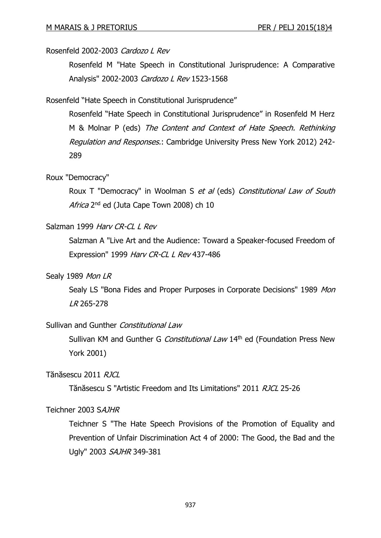## Rosenfeld 2002-2003 Cardozo L Rev

Rosenfeld M "Hate Speech in Constitutional Jurisprudence: A Comparative Analysis" 2002-2003 Cardozo L Rev 1523-1568

Rosenfeld "Hate Speech in Constitutional Jurisprudence"

Rosenfeld "Hate Speech in Constitutional Jurisprudence" in Rosenfeld M Herz M & Molnar P (eds) The Content and Context of Hate Speech. Rethinking Regulation and Responses.: Cambridge University Press New York 2012) 242- 289

## Roux "Democracy"

Roux T "Democracy" in Woolman S et al (eds) Constitutional Law of South Africa 2<sup>nd</sup> ed (Juta Cape Town 2008) ch 10

# Salzman 1999 Harv CR-CL L Rev

Salzman A "Live Art and the Audience: Toward a Speaker-focused Freedom of Expression" 1999 Harv CR-CL L Rev 437-486

## Sealy 1989 Mon LR

Sealy LS "Bona Fides and Proper Purposes in Corporate Decisions" 1989 Mon LR 265-278

## Sullivan and Gunther Constitutional Law

Sullivan KM and Gunther G Constitutional Law 14th ed (Foundation Press New York 2001)

Tănăsescu 2011 *RICL* 

Tănăsescu S "Artistic Freedom and Its Limitations" 2011 RJCL 25-26

## Teichner 2003 SAJHR

Teichner S "The Hate Speech Provisions of the Promotion of Equality and Prevention of Unfair Discrimination Act 4 of 2000: The Good, the Bad and the Ugly" 2003 SAJHR 349-381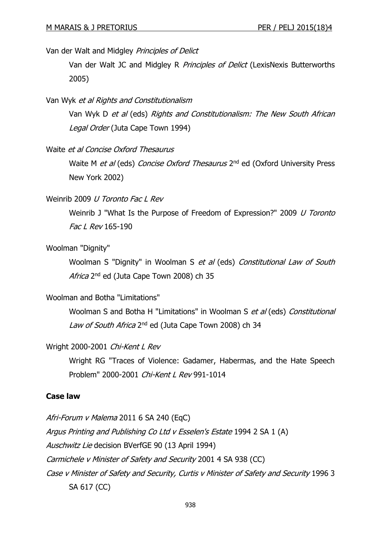Van der Walt and Midgley Principles of Delict

Van der Walt JC and Midgley R Principles of Delict (LexisNexis Butterworths 2005)

#### Van Wyk et al Rights and Constitutionalism

Van Wyk D et al (eds) Rights and Constitutionalism: The New South African Legal Order (Juta Cape Town 1994)

### Waite et al Concise Oxford Thesaurus

Waite M et al (eds) Concise Oxford Thesaurus 2<sup>nd</sup> ed (Oxford University Press New York 2002)

#### Weinrib 2009 *U Toronto Fac L Rev*

Weinrib J "What Is the Purpose of Freedom of Expression?" 2009 *U Toronto* Fac L Rev 165-190

#### Woolman "Dignity"

Woolman S "Dignity" in Woolman S et al (eds) Constitutional Law of South Africa 2<sup>nd</sup> ed (Juta Cape Town 2008) ch 35

## Woolman and Botha "Limitations"

Woolman S and Botha H "Limitations" in Woolman S et al (eds) Constitutional L*aw of South Africa* 2<sup>nd</sup> ed (Juta Cape Town 2008) ch 34

#### Wright 2000-2001 Chi-Kent L Rev

Wright RG "Traces of Violence: Gadamer, Habermas, and the Hate Speech Problem" 2000-2001 Chi-Kent L Rev 991-1014

### **Case law**

Afri-Forum v Malema 2011 6 SA 240 (EqC) Argus Printing and Publishing Co Ltd v Esselen's Estate 1994 2 SA 1 (A) Auschwitz Lie decision BVerfGE 90 (13 April 1994) Carmichele v Minister of Safety and Security 2001 4 SA 938 (CC) Case v Minister of Safety and Security, Curtis v Minister of Safety and Security 1996 3 SA 617 (CC)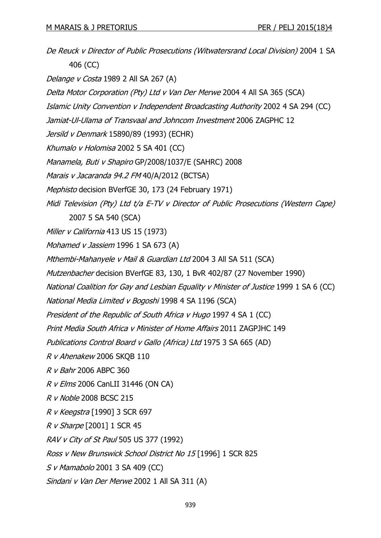De Reuck v Director of Public Prosecutions (Witwatersrand Local Division) 2004 1 SA 406 (CC) Delange v Costa 1989 2 All SA 267 (A) Delta Motor Corporation (Pty) Ltd v Van Der Merwe 2004 4 All SA 365 (SCA) Islamic Unity Convention v Independent Broadcasting Authority 2002 4 SA 294 (CC) Jamiat-Ul-Ulama of Transvaal and Johncom Investment 2006 ZAGPHC 12 Jersild v Denmark 15890/89 (1993) (ECHR) Khumalo v Holomisa 2002 5 SA 401 (CC) Manamela, Buti v Shapiro GP/2008/1037/E (SAHRC) 2008 Marais v Jacaranda 94.2 FM 40/A/2012 (BCTSA) Mephisto decision BVerfGE 30, 173 (24 February 1971) Midi Television (Pty) Ltd t/a E-TV v Director of Public Prosecutions (Western Cape) 2007 5 SA 540 (SCA) Miller v California 413 US 15 (1973) Mohamed v Jassiem 1996 1 SA 673 (A) Mthembi-Mahanyele v Mail & Guardian Ltd 2004 3 All SA 511 (SCA) Mutzenbacher decision BVerfGE 83, 130, 1 BvR 402/87 (27 November 1990) National Coalition for Gay and Lesbian Equality v Minister of Justice 1999 1 SA 6 (CC) National Media Limited v Bogoshi 1998 4 SA 1196 (SCA) President of the Republic of South Africa v Hugo 1997 4 SA 1 (CC) Print Media South Africa v Minister of Home Affairs 2011 ZAGPJHC 149 Publications Control Board v Gallo (Africa) Ltd 1975 3 SA 665 (AD) R v Ahenakew 2006 SKQB 110 R v Bahr 2006 ABPC 360 R v Elms 2006 CanLII 31446 (ON CA) R v Noble 2008 BCSC 215 R v Keegstra [1990] 3 SCR 697 R v Sharpe [2001] 1 SCR 45 RAV v City of St Paul 505 US 377 (1992) Ross v New Brunswick School District No 15 [1996] 1 SCR 825 S v Mamabolo 2001 3 SA 409 (CC) Sindani v Van Der Merwe 2002 1 All SA 311 (A)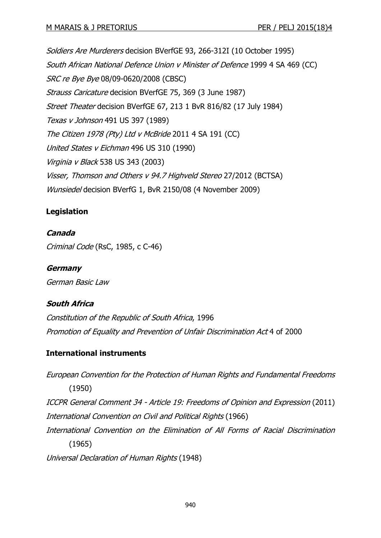Soldiers Are Murderers decision BVerfGE 93, 266-312I (10 October 1995) South African National Defence Union v Minister of Defence 1999 4 SA 469 (CC) SRC re Bye Bye 08/09-0620/2008 (CBSC) Strauss Caricature decision BVerfGE 75, 369 (3 June 1987) Street Theater decision BVerfGE 67, 213 1 BvR 816/82 (17 July 1984) Texas v Johnson 491 US 397 (1989) The Citizen 1978 (Pty) Ltd v McBride 2011 4 SA 191 (CC) United States v Eichman 496 US 310 (1990) Virginia v Black 538 US 343 (2003) Visser, Thomson and Others v 94.7 Highveld Stereo 27/2012 (BCTSA) Wunsiedel decision BVerfG 1, BvR 2150/08 (4 November 2009)

# **Legislation**

## **Canada**

Criminal Code (RsC, 1985, c C-46)

**Germany** German Basic Law

# **South Africa**

Constitution of the Republic of South Africa, 1996 Promotion of Equality and Prevention of Unfair Discrimination Act 4 of 2000

## **International instruments**

European Convention for the Protection of Human Rights and Fundamental Freedoms (1950) ICCPR General Comment 34 - Article 19: Freedoms of Opinion and Expression (2011) International Convention on Civil and Political Rights (1966) International Convention on the Elimination of All Forms of Racial Discrimination (1965) Universal Declaration of Human Rights (1948)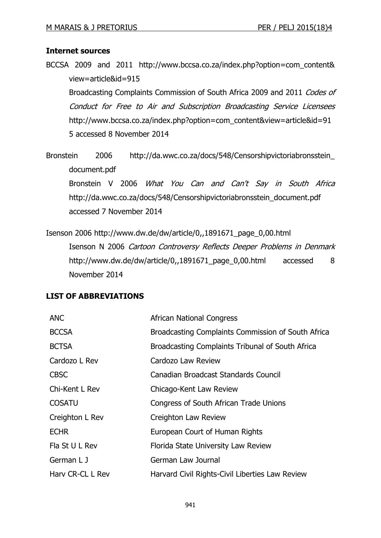## **Internet sources**

BCCSA 2009 and 2011 http://www.bccsa.co.za/index.php?option=com\_content& view=article&id=915

Broadcasting Complaints Commission of South Africa 2009 and 2011 Codes of Conduct for Free to Air and Subscription Broadcasting Service Licensees http://www.bccsa.co.za/index.php?option=com\_content&view=article&id=91 5 accessed 8 November 2014

Bronstein 2006 http://da.wwc.co.za/docs/548/Censorshipvictoriabronsstein\_ document.pdf

Bronstein V 2006 What You Can and Can't Say in South Africa http://da.wwc.co.za/docs/548/Censorshipvictoriabronsstein\_document.pdf accessed 7 November 2014

Isenson 2006 http://www.dw.de/dw/article/0,,1891671\_page\_0,00.html Isenson N 2006 Cartoon Controversy Reflects Deeper Problems in Denmark http://www.dw.de/dw/article/0,,1891671\_page\_0,00.html accessed 8 November 2014

## **LIST OF ABBREVIATIONS**

| <b>ANC</b>       | <b>African National Congress</b>                   |
|------------------|----------------------------------------------------|
| <b>BCCSA</b>     | Broadcasting Complaints Commission of South Africa |
| <b>BCTSA</b>     | Broadcasting Complaints Tribunal of South Africa   |
| Cardozo L Rev    | Cardozo Law Review                                 |
| <b>CBSC</b>      | Canadian Broadcast Standards Council               |
| Chi-Kent L Rev   | Chicago-Kent Law Review                            |
| <b>COSATU</b>    | Congress of South African Trade Unions             |
| Creighton L Rev  | Creighton Law Review                               |
| <b>ECHR</b>      | European Court of Human Rights                     |
| Fla St U L Rev   | Florida State University Law Review                |
| German L J       | German Law Journal                                 |
| Harv CR-CL L Rev | Harvard Civil Rights-Civil Liberties Law Review    |